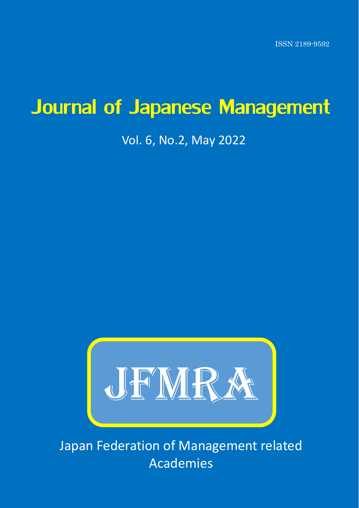ISSN 2189-9592

# Journal of Japanese Management

# Vol. 6, No.2, May 2022



Japan Federation of Management related Academies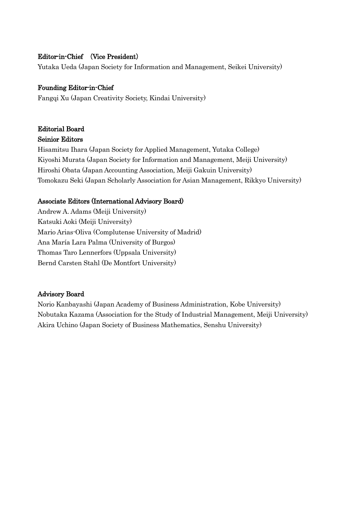# Editor-in-Chief (Vice President)

Yutaka Ueda (Japan Society for Information and Management, Seikei University)

## Founding Editor-in-Chief

Fangqi Xu (Japan Creativity Society, Kindai University)

# Editorial Board Seinior Editors

Hisamitsu Ihara (Japan Society for Applied Management, Yutaka College) Kiyoshi Murata (Japan Society for Information and Management, Meiji University) Hiroshi Obata (Japan Accounting Association, Meiji Gakuin University) Tomokazu Seki (Japan Scholarly Association for Asian Management, Rikkyo University)

## Associate Editors (International Advisory Board)

Andrew A. Adams (Meiji University) Katsuki Aoki (Meiji University) Mario Arias-Oliva (Complutense University of Madrid) Ana María Lara Palma (University of Burgos) Thomas Taro Lennerfors (Uppsala University) Bernd Carsten Stahl (De Montfort University)

## Advisory Board

Norio Kanbayashi (Japan Academy of Business Administration, Kobe University) Nobutaka Kazama (Association for the Study of Industrial Management, Meiji University) Akira Uchino (Japan Society of Business Mathematics, Senshu University)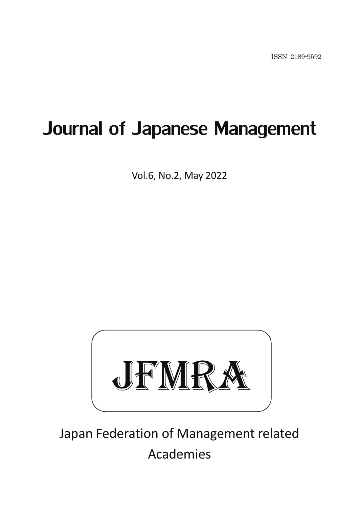# Journal of Japanese Management

Vol.6, No.2, May 2022



Japan Federation of Management related Academies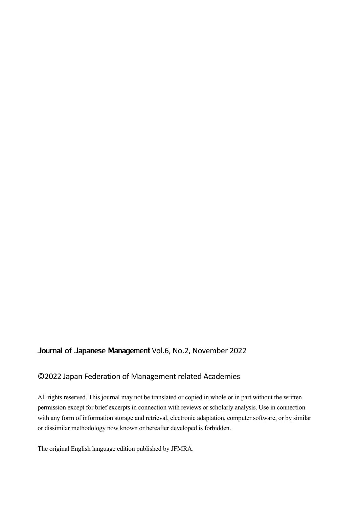# Journal of Japanese Management Vol.6, No.2, November 2022

# ©2022 Japan Federation of Management related Academies

All rights reserved. This journal may not be translated or copied in whole or in part without the written permission except for brief excerpts in connection with reviews or scholarly analysis. Use in connection with any form of information storage and retrieval, electronic adaptation, computer software, or by similar or dissimilar methodology now known or hereafter developed is forbidden.

The original English language edition published by JFMRA.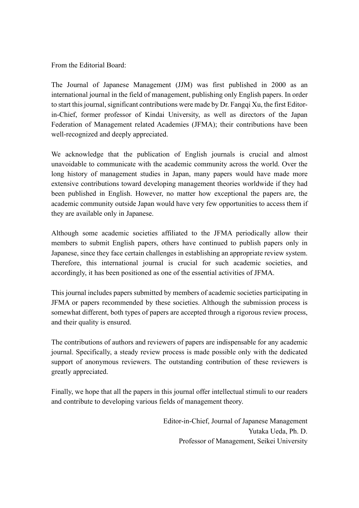From the Editorial Board:

The Journal of Japanese Management (JJM) was first published in 2000 as an international journal in the field of management, publishing only English papers. In order to start this journal, significant contributions were made by Dr. Fangqi Xu, the first Editorin-Chief, former professor of Kindai University, as well as directors of the Japan Federation of Management related Academies (JFMA); their contributions have been well-recognized and deeply appreciated.

We acknowledge that the publication of English journals is crucial and almost unavoidable to communicate with the academic community across the world. Over the long history of management studies in Japan, many papers would have made more extensive contributions toward developing management theories worldwide if they had been published in English. However, no matter how exceptional the papers are, the academic community outside Japan would have very few opportunities to access them if they are available only in Japanese.

Although some academic societies affiliated to the JFMA periodically allow their members to submit English papers, others have continued to publish papers only in Japanese, since they face certain challenges in establishing an appropriate review system. Therefore, this international journal is crucial for such academic societies, and accordingly, it has been positioned as one of the essential activities of JFMA.

This journal includes papers submitted by members of academic societies participating in JFMA or papers recommended by these societies. Although the submission process is somewhat different, both types of papers are accepted through a rigorous review process, and their quality is ensured.

The contributions of authors and reviewers of papers are indispensable for any academic journal. Specifically, a steady review process is made possible only with the dedicated support of anonymous reviewers. The outstanding contribution of these reviewers is greatly appreciated.

Finally, we hope that all the papers in this journal offer intellectual stimuli to our readers and contribute to developing various fields of management theory.

> Editor-in-Chief, Journal of Japanese Management Yutaka Ueda, Ph. D. Professor of Management, Seikei University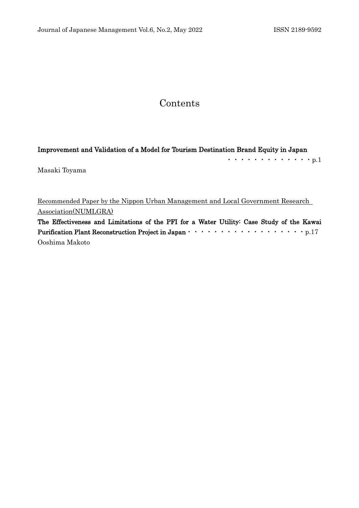# Contents

## Improvement and Validation of a Model for Tourism Destination Brand Equity in Japan

|               | $\cdots$ p. ] |  |  |  |  |  |  |  |
|---------------|---------------|--|--|--|--|--|--|--|
| Masaki Toyama |               |  |  |  |  |  |  |  |

Recommended Paper by the Nippon Urban Management and Local Government Research Association(NUMLGRA)

The Effectiveness and Limitations of the PFI for a Water Utility: Case Study of the Kawai Purification Plant Reconstruction Project in Japan・・・・・・・・・・・・・・・・・・p.17 Ooshima Makoto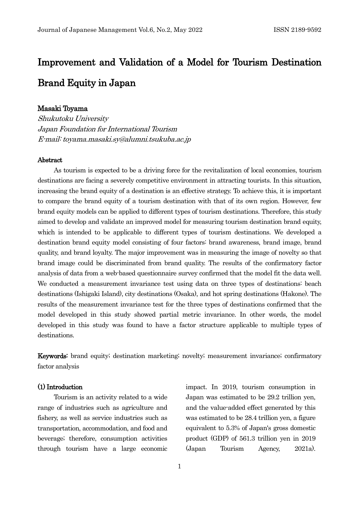# Improvement and Validation of a Model for Tourism Destination Brand Equity in Japan

## Masaki Toyama

Shukutoku University Japan Foundation for International Tourism E-mail: toyama.masaki.sy@alumni.tsukuba.ac.jp

### Abstract

As tourism is expected to be a driving force for the revitalization of local economies, tourism destinations are facing a severely competitive environment in attracting tourists. In this situation, increasing the brand equity of a destination is an effective strategy. To achieve this, it is important to compare the brand equity of a tourism destination with that of its own region. However, few brand equity models can be applied to different types of tourism destinations. Therefore, this study aimed to develop and validate an improved model for measuring tourism destination brand equity, which is intended to be applicable to different types of tourism destinations. We developed a destination brand equity model consisting of four factors: brand awareness, brand image, brand quality, and brand loyalty. The major improvement was in measuring the image of novelty so that brand image could be discriminated from brand quality. The results of the confirmatory factor analysis of data from a web-based questionnaire survey confirmed that the model fit the data well. We conducted a measurement invariance test using data on three types of destinations: beach destinations (Ishigaki Island), city destinations (Osaka), and hot spring destinations (Hakone). The results of the measurement invariance test for the three types of destinations confirmed that the model developed in this study showed partial metric invariance. In other words, the model developed in this study was found to have a factor structure applicable to multiple types of destinations.

Keywords: brand equity; destination marketing; novelty; measurement invariance; confirmatory factor analysis

## (1) Introduction

Tourism is an activity related to a wide range of industries such as agriculture and fishery, as well as service industries such as transportation, accommodation, and food and beverage; therefore, consumption activities through tourism have a large economic impact. In 2019, tourism consumption in Japan was estimated to be 29.2 trillion yen, and the value-added effect generated by this was estimated to be 28.4 trillion yen, a figure equivalent to 5.3% of Japan's gross domestic product (GDP) of 561.3 trillion yen in 2019 (Japan Tourism Agency, 2021a).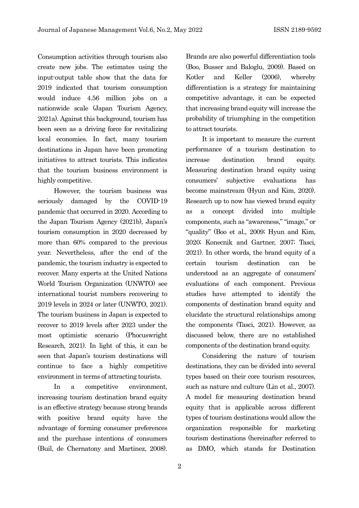Consumption activities through tourism also create new jobs. The estimates using the input-output table show that the data for 2019 indicated that tourism consumption would induce 4.56 million jobs on a nationwide scale (Japan Tourism Agency, 2021a). Against this background, tourism has been seen as a driving force for revitalizing local economies. In fact, many tourism destinations in Japan have been promoting initiatives to attract tourists. This indicates that the tourism business environment is highly competitive.

However, the tourism business was seriously damaged by the COVID-19 pandemic that occurred in 2020. According to the Japan Tourism Agency (2021b), Japan's tourism consumption in 2020 decreased by more than 60% compared to the previous year. Nevertheless, after the end of the pandemic, the tourism industry is expected to recover. Many experts at the United Nations World Tourism Organization (UNWTO) see international tourist numbers recovering to 2019 levels in 2024 or later (UNWTO, 2021). The tourism business in Japan is expected to recover to 2019 levels after 2023 under the most optimistic scenario (Phocuswright Research, 2021). In light of this, it can be seen that Japan's tourism destinations will continue to face a highly competitive environment in terms of attracting tourists.

In a competitive environment, increasing tourism destination brand equity is an effective strategy because strong brands with positive brand equity have the advantage of forming consumer preferences and the purchase intentions of consumers (Buil, de Chernatony and Martinez, 2008). Brands are also powerful differentiation tools (Boo, Busser and Baloglu, 2009). Based on Kotler and Keller (2006), whereby differentiation is a strategy for maintaining competitive advantage, it can be expected that increasing brand equity will increase the probability of triumphing in the competition to attract tourists.

It is important to measure the current performance of a tourism destination to increase destination brand equity. Measuring destination brand equity using consumers' subjective evaluations has become mainstream (Hyun and Kim, 2020). Research up to now has viewed brand equity as a concept divided into multiple components, such as "awareness," "image," or "quality" (Boo et al., 2009; Hyun and Kim, 2020; Konecnik and Gartner, 2007; Tasci, 2021). In other words, the brand equity of a certain tourism destination can be understood as an aggregate of consumers' evaluations of each component. Previous studies have attempted to identify the components of destination brand equity and elucidate the structural relationships among the components (Tasci, 2021). However, as discussed below, there are no established components of the destination brand equity.

Considering the nature of tourism destinations, they can be divided into several types based on their core tourism resources, such as nature and culture (Lin et al., 2007). A model for measuring destination brand equity that is applicable across different types of tourism destinations would allow the organization responsible for marketing tourism destinations (hereinafter referred to as DMO, which stands for Destination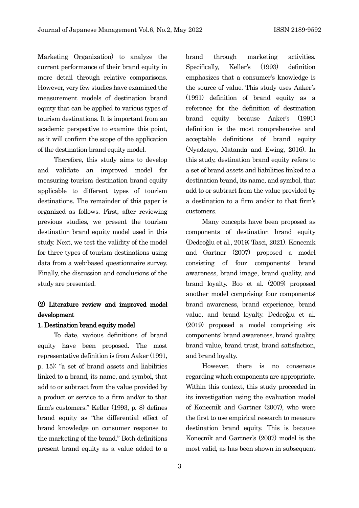Marketing Organization) to analyze the current performance of their brand equity in more detail through relative comparisons. However, very few studies have examined the measurement models of destination brand equity that can be applied to various types of tourism destinations. It is important from an academic perspective to examine this point, as it will confirm the scope of the application of the destination brand equity model.

Therefore, this study aims to develop and validate an improved model for measuring tourism destination brand equity applicable to different types of tourism destinations. The remainder of this paper is organized as follows. First, after reviewing previous studies, we present the tourism destination brand equity model used in this study. Next, we test the validity of the model for three types of tourism destinations using data from a web-based questionnaire survey. Finally, the discussion and conclusions of the study are presented.

# (2) Literature review and improved model development

## 1. Destination brand equity model

To date, various definitions of brand equity have been proposed. The most representative definition is from Aaker (1991, p. 15): "a set of brand assets and liabilities linked to a brand, its name, and symbol, that add to or subtract from the value provided by a product or service to a firm and/or to that firm's customers." Keller (1993, p. 8) defines brand equity as "the differential effect of brand knowledge on consumer response to the marketing of the brand." Both definitions present brand equity as a value added to a

brand through marketing activities. Specifically, Keller's (1993) definition emphasizes that a consumer's knowledge is the source of value. This study uses Aaker's (1991) definition of brand equity as a reference for the definition of destination brand equity because Aaker's (1991) definition is the most comprehensive and acceptable definitions of brand equity (Nyadzayo, Matanda and Ewing, 2016). In this study, destination brand equity refers to a set of brand assets and liabilities linked to a destination brand, its name, and symbol, that add to or subtract from the value provided by a destination to a firm and/or to that firm's customers.

Many concepts have been proposed as components of destination brand equity (Dedeoğlu et al., 2019; Tasci, 2021). Konecnik and Gartner (2007) proposed a model consisting of four components: brand awareness, brand image, brand quality, and brand loyalty. Boo et al. (2009) proposed another model comprising four components: brand awareness, brand experience, brand value, and brand loyalty. Dedeoğlu et al. (2019) proposed a model comprising six components: brand awareness, brand quality, brand value, brand trust, brand satisfaction, and brand loyalty.

However, there is no consensus regarding which components are appropriate. Within this context, this study proceeded in its investigation using the evaluation model of Konecnik and Gartner (2007), who were the first to use empirical research to measure destination brand equity. This is because Konecnik and Gartner's (2007) model is the most valid, as has been shown in subsequent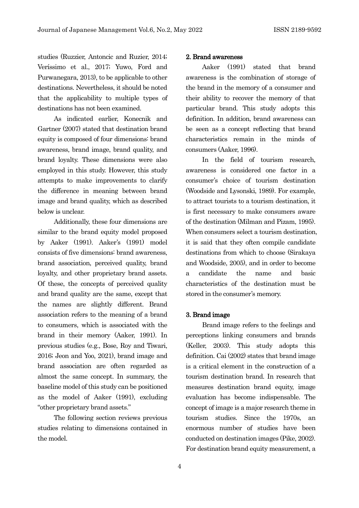studies (Ruzzier, Antoncic and Ruzier, 2014; Veríssimo et al., 2017; Yuwo, Ford and Purwanegara, 2013), to be applicable to other destinations. Nevertheless, it should be noted that the applicability to multiple types of destinations has not been examined.

As indicated earlier, Konecnik and Gartner (2007) stated that destination brand equity is composed of four dimensions: brand awareness, brand image, brand quality, and brand loyalty. These dimensions were also employed in this study. However, this study attempts to make improvements to clarify the difference in meaning between brand image and brand quality, which as described below is unclear.

Additionally, these four dimensions are similar to the brand equity model proposed by Aaker (1991). Aaker's (1991) model consists of five dimensions: brand awareness, brand association, perceived quality, brand loyalty, and other proprietary brand assets. Of these, the concepts of perceived quality and brand quality are the same, except that the names are slightly different. Brand association refers to the meaning of a brand to consumers, which is associated with the brand in their memory (Aaker, 1991). In previous studies (e.g., Bose, Roy and Tiwari, 2016; Jeon and Yoo, 2021), brand image and brand association are often regarded as almost the same concept. In summary, the baseline model of this study can be positioned as the model of Aaker (1991), excluding "other proprietary brand assets."

The following section reviews previous studies relating to dimensions contained in the model.

## 2. Brand awareness

Aaker (1991) stated that brand awareness is the combination of storage of the brand in the memory of a consumer and their ability to recover the memory of that particular brand. This study adopts this definition. In addition, brand awareness can be seen as a concept reflecting that brand characteristics remain in the minds of consumers (Aaker, 1996).

In the field of tourism research, awareness is considered one factor in a consumer's choice of tourism destination (Woodside and Lysonski, 1989). For example, to attract tourists to a tourism destination, it is first necessary to make consumers aware of the destination (Milman and Pizam, 1995). When consumers select a tourism destination, it is said that they often compile candidate destinations from which to choose (Sirakaya and Woodside, 2005), and in order to become a candidate the name and basic characteristics of the destination must be stored in the consumer's memory.

#### 3. Brand image

Brand image refers to the feelings and perceptions linking consumers and brands (Keller, 2003). This study adopts this definition. Cai (2002) states that brand image is a critical element in the construction of a tourism destination brand. In research that measures destination brand equity, image evaluation has become indispensable. The concept of image is a major research theme in tourism studies. Since the 1970s, an enormous number of studies have been conducted on destination images (Pike, 2002). For destination brand equity measurement, a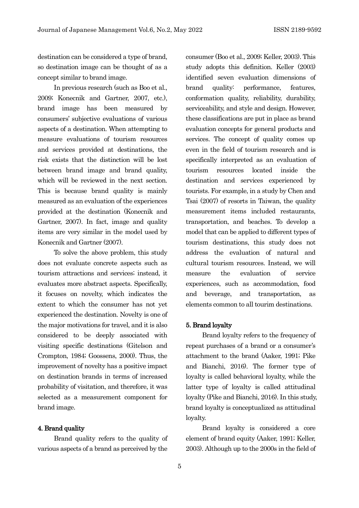destination can be considered a type of brand, so destination image can be thought of as a concept similar to brand image.

In previous research (such as Boo et al., 2009; Konecnik and Gartner, 2007, etc.), brand image has been measured by consumers' subjective evaluations of various aspects of a destination. When attempting to measure evaluations of tourism resources and services provided at destinations, the risk exists that the distinction will be lost between brand image and brand quality, which will be reviewed in the next section. This is because brand quality is mainly measured as an evaluation of the experiences provided at the destination (Konecnik and Gartner, 2007). In fact, image and quality items are very similar in the model used by Konecnik and Gartner (2007).

To solve the above problem, this study does not evaluate concrete aspects such as tourism attractions and services; instead, it evaluates more abstract aspects. Specifically, it focuses on novelty, which indicates the extent to which the consumer has not yet experienced the destination. Novelty is one of the major motivations for travel, and it is also considered to be deeply associated with visiting specific destinations (Gitelson and Crompton, 1984; Goossens, 2000). Thus, the improvement of novelty has a positive impact on destination brands in terms of increased probability of visitation, and therefore, it was selected as a measurement component for brand image.

## 4. Brand quality

Brand quality refers to the quality of various aspects of a brand as perceived by the

consumer (Boo et al., 2009; Keller, 2003). This study adopts this definition. Keller (2003) identified seven evaluation dimensions of brand quality: performance, features, conformation quality, reliability, durability, serviceability, and style and design. However, these classifications are put in place as brand evaluation concepts for general products and services. The concept of quality comes up even in the field of tourism research and is specifically interpreted as an evaluation of tourism resources located inside the destination and services experienced by tourists. For example, in a study by Chen and Tsai (2007) of resorts in Taiwan, the quality measurement items included restaurants, transportation, and beaches. To develop a model that can be applied to different types of tourism destinations, this study does not address the evaluation of natural and cultural tourism resources. Instead, we will measure the evaluation of service experiences, such as accommodation, food and beverage, and transportation, as elements common to all tourim destinations.

#### 5. Brand loyalty

Brand loyalty refers to the frequency of repeat purchases of a brand or a consumer's attachment to the brand (Aaker, 1991; Pike and Bianchi, 2016). The former type of loyalty is called behavioral loyalty, while the latter type of loyalty is called attitudinal loyalty (Pike and Bianchi, 2016). In this study, brand loyalty is conceptualized as attitudinal loyalty.

Brand loyalty is considered a core element of brand equity (Aaker, 1991; Keller, 2003). Although up to the 2000s in the field of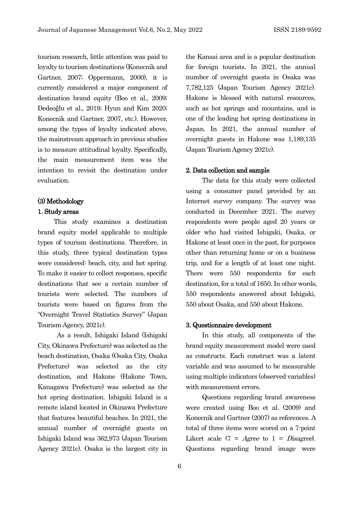tourism research, little attention was paid to loyalty to tourism destinations (Konecnik and Gartner, 2007; Oppermann, 2000), it is currently considered a major component of destination brand equity (Boo et al., 2009; Dedeoğlu et al., 2019; Hyun and Kim 2020; Konecnik and Gartner, 2007, etc.). However, among the types of loyalty indicated above, the mainstream approach in previous studies is to measure attitudinal loyalty. Specifically, the main measurement item was the intention to revisit the destination under evaluation.

## (3) Methodology

### 1. Study areas

This study examines a destination brand equity model applicable to multiple types of tourism destinations. Therefore, in this study, three typical destination types were considered: beach, city, and hot spring. To make it easier to collect responses, specific destinations that see a certain number of tourists were selected. The numbers of tourists were based on figures from the "Overnight Travel Statistics Survey" (Japan Tourism Agency, 2021c).

As a result, Ishigaki Island (Ishigaki City, Okinawa Prefecture) was selected as the beach destination, Osaka (Osaka City, Osaka Prefecture) was selected as the city destination, and Hakone (Hakone Town, Kanagawa Prefecture) was selected as the hot spring destination. Ishigaki Island is a remote island located in Okinawa Prefecture that features beautiful beaches. In 2021, the annual number of overnight guests on Ishigaki Island was 362,973 (Japan Tourism Agency 2021c). Osaka is the largest city in the Kansai area and is a popular destination for foreign tourists. In 2021, the annual number of overnight guests in Osaka was 7,782,125 (Japan Tourism Agency 2021c). Hakone is blessed with natural resources, such as hot springs and mountains, and is one of the leading hot spring destinations in Japan. In 2021, the annual number of overnight guests in Hakone was 1,189,135 (Japan Tourism Agency 2021c).

## 2. Data collection and sample

The data for this study were collected using a consumer panel provided by an Internet survey company. The survey was conducted in December 2021. The survey respondents were people aged 20 years or older who had visited Ishigaki, Osaka, or Hakone at least once in the past, for purposes other than returning home or on a business trip, and for a length of at least one night. There were 550 respondents for each destination, for a total of 1650. In other words, 550 respondents answered about Ishigaki, 550 about Osaka, and 550 about Hakone.

## 3. Questionnaire development

In this study, all components of the brand equity measurement model were used as constructs. Each construct was a latent variable and was assumed to be measurable using multiple indicators (observed variables) with measurement errors.

Questions regarding brand awareness were created using Boo et al. (2009) and Konecnik and Gartner (2007) as references. A total of three items were scored on a 7-point Likert scale  $(7 = \text{Agree to } 1 = \text{Disagree})$ . Questions regarding brand image were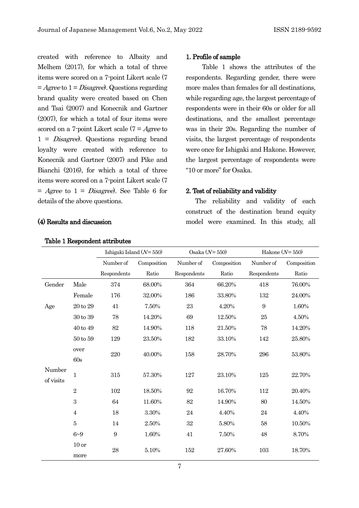created with reference to Albaity and Melhem (2017), for which a total of three items were scored on a 7-point Likert scale (7  $=$  Agree to  $1 = Disagree$ . Questions regarding brand quality were created based on Chen and Tsai (2007) and Konecnik and Gartner (2007), for which a total of four items were scored on a 7-point Likert scale  $(7 = \text{Agree to})$  $1 = Disagree$ ). Questions regarding brand loyalty were created with reference to Konecnik and Gartner (2007) and Pike and Bianchi (2016), for which a total of three items were scored on a 7-point Likert scale (7  $=$  Agree to  $1 = Disagree$ . See Table 6 for details of the above questions.

## (4) Results and discussion

# 1. Profile of sample

Table 1 shows the attributes of the respondents. Regarding gender, there were more males than females for all destinations, while regarding age, the largest percentage of respondents were in their 60s or older for all destinations, and the smallest percentage was in their 20s. Regarding the number of visits, the largest percentage of respondents were once for Ishigaki and Hakone. However, the largest percentage of respondents were "10 or more" for Osaka.

## 2. Test of reliability and validity

The reliability and validity of each construct of the destination brand equity model were examined. In this study, all

|                     |                          | Ishigaki Island $(N=550)$ |             | Osaka $(N=550)$ |             | Hakone $(N=550)$ |             |  |  |
|---------------------|--------------------------|---------------------------|-------------|-----------------|-------------|------------------|-------------|--|--|
|                     |                          | Number of                 | Composition | Number of       | Composition | Number of        | Composition |  |  |
|                     |                          | Respondents               | Ratio       | Respondents     | Ratio       | Respondents      | Ratio       |  |  |
| Gender              | Male                     | 374                       | 68.00%      | 364             | 66.20%      | 418              | 76.00%      |  |  |
|                     | Female                   | 176                       | 32.00%      | 186             | 33.80%      | 132              | 24.00%      |  |  |
| Age                 | 20 to 29                 | 41                        | 7.50%       | 23              | 4.20%       | 9                | 1.60%       |  |  |
|                     | 30 to 39                 | 78                        | 14.20%      | 69              | 12.50%      | 25               | 4.50%       |  |  |
|                     | 40 to 49                 | $82\,$                    | 14.90%      | 118             | 21.50%      | 78               | 14.20%      |  |  |
|                     | 50 to 59                 | 129                       | 23.50%      | 182             | 33.10%      | 142              | 25.80%      |  |  |
|                     | over<br>60s              | 220                       | 40.00%      | 158             | 28.70%      | 296              | 53.80%      |  |  |
| Number<br>of visits | $\mathbf{1}$             | 315                       | 57.30%      | 127             | 23.10%      | 125              | 22.70%      |  |  |
|                     | $\overline{2}$           | 102                       | 18.50%      | 92              | 16.70%      | 112              | 20.40%      |  |  |
|                     | 3                        | 64                        | 11.60%      | 82              | 14.90%      | 80               | 14.50%      |  |  |
|                     | $\overline{4}$           | 18                        | 3.30%       | 24              | 4.40%       | 24               | 4.40%       |  |  |
|                     | $\bf 5$                  | 14                        | 2.50%       | 32              | 5.80%       | 58               | 10.50%      |  |  |
|                     | $6 - 9$                  | 9                         | 1.60%       | 41              | 7.50%       | 48               | 8.70%       |  |  |
|                     | 10 <sub>or</sub><br>more | 28                        | 5.10%       | 152             | 27.60%      | 103              | 18.70%      |  |  |

## Table 1 Respondent attributes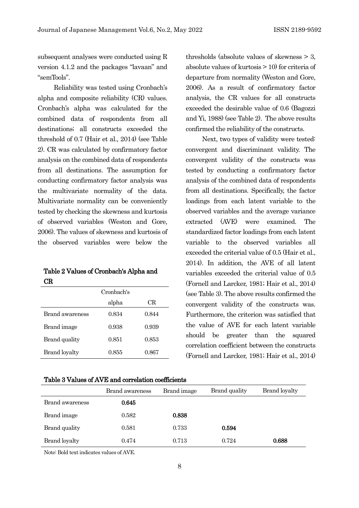subsequent analyses were conducted using R version 4.1.2 and the packages "lavaan" and "semTools".

Reliability was tested using Cronbach's alpha and composite reliability (CR) values. Cronbach's alpha was calculated for the combined data of respondents from all destinations; all constructs exceeded the threshold of 0.7 (Hair et al., 2014) (see Table 2). CR was calculated by confirmatory factor analysis on the combined data of respondents from all destinations. The assumption for conducting confirmatory factor analysis was the multivariate normality of the data. Multivariate normality can be conveniently tested by checking the skewness and kurtosis of observed variables (Weston and Gore, 2006). The values of skewness and kurtosis of the observed variables were below the

| Table 2 Values of Cronbach's Alpha and |  |
|----------------------------------------|--|
| CR                                     |  |

|                      | Cronbach's |       |
|----------------------|------------|-------|
|                      | alpha      | CR    |
| Brand awareness      | 0.834      | 0.844 |
| Brand image          | 0.938      | 0.939 |
| <b>Brand</b> quality | 0.851      | 0.853 |
| <b>Brand loyalty</b> | 0.855      | 0.867 |

thresholds (absolute values of skewness > 3, absolute values of kurtosis > 10) for criteria of departure from normality (Weston and Gore, 2006). As a result of confirmatory factor analysis, the CR values for all constructs exceeded the desirable value of 0.6 (Bagozzi and Yi, 1988) (see Table 2). The above results confirmed the reliability of the constructs.

Next, two types of validity were tested: convergent and discriminant validity. The convergent validity of the constructs was tested by conducting a confirmatory factor analysis of the combined data of respondents from all destinations. Specifically, the factor loadings from each latent variable to the observed variables and the average variance extracted (AVE) were examined. The standardized factor loadings from each latent variable to the observed variables all exceeded the criterial value of 0.5 (Hair et al., 2014). In addition, the AVE of all latent variables exceeded the criterial value of 0.5 (Fornell and Larcker, 1981; Hair et al., 2014) (see Table 3). The above results confirmed the convergent validity of the constructs was. Furthermore, the criterion was satisfied that the value of AVE for each latent variable should be greater than the squared correlation coefficient between the constructs (Fornell and Larcker, 1981; Hair et al., 2014)

#### Table 3 Values of AVE and correlation coefficients

|                        | Brand awareness | Brand image | Brand quality | <b>Brand loyalty</b> |
|------------------------|-----------------|-------------|---------------|----------------------|
| <b>Brand awareness</b> | 0.645           |             |               |                      |
| Brand image            | 0.582           | 0.838       |               |                      |
| Brand quality          | 0.581           | 0.733       | 0.594         |                      |
| Brand loyalty          | 0.474           | 0.713       | 0.724         | 0.688                |

Note: Bold text indicates values of AVE.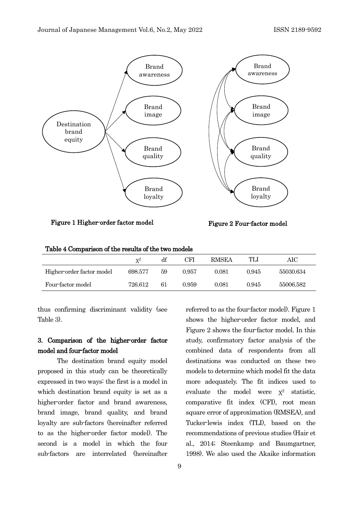

Figure 1 Higher-order factor model Figure 2 Four-factor model

| Table 4 Comparison of the results of the two models |
|-----------------------------------------------------|
|-----------------------------------------------------|

|                           | $\mathbf{v}^2$ | df | CFI   | <b>RMSEA</b> | TLI   | AIC       |
|---------------------------|----------------|----|-------|--------------|-------|-----------|
| Higher-order factor model | 698.577        | 59 | 0.957 | 0.081        | 0.945 | 55030.634 |
| Four-factor model         | 726.612        | 61 | 0.959 | 0.081        | 0.945 | 55006.582 |

thus confirming discriminant validity (see Table 3).

# 3. Comparison of the higher-order factor model and four-factor model

The destination brand equity model proposed in this study can be theoretically expressed in two ways: the first is a model in which destination brand equity is set as a higher-order factor and brand awareness, brand image, brand quality, and brand loyalty are sub-factors (hereinafter referred to as the higher-order factor model). The second is a model in which the four sub-factors are interrelated (hereinafter shows the higher-order factor model, and Figure 2 shows the four-factor model. In this study, confirmatory factor analysis of the combined data of respondents from all destinations was conducted on these two models to determine which model fit the data more adequately. The fit indices used to evaluate the model were  $x^2$  statistic, comparative fit index (CFI), root mean square error of approximation (RMSEA), and Tucker-lewis index (TLI), based on the recommendations of previous studies (Hair et al., 2014; Steenkamp and Baumgartner, 1998). We also used the Akaike information

referred to as the four-factor model). Figure 1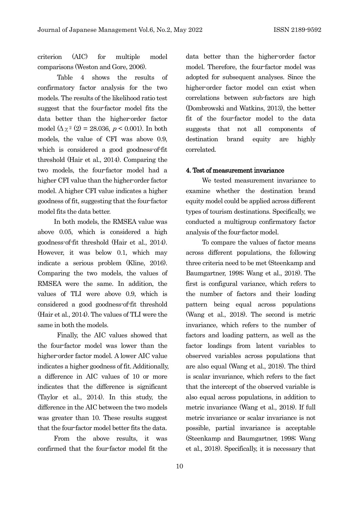criterion (AIC) for multiple model comparisons (Weston and Gore, 2006).

Table 4 shows the results of confirmatory factor analysis for the two models. The results of the likelihood ratio test suggest that the four-factor model fits the data better than the higher-order factor model  $(\Delta \chi^2 (2) = 28.036, p < 0.001)$ . In both models, the value of CFI was above 0.9, which is considered a good goodness-of-fit threshold (Hair et al., 2014). Comparing the two models, the four-factor model had a higher CFI value than the higher-order factor model. A higher CFI value indicates a higher goodness of fit, suggesting that the four-factor model fits the data better.

In both models, the RMSEA value was above 0.05, which is considered a high goodness-of-fit threshold (Hair et al., 2014). However, it was below 0.1, which may indicate a serious problem (Kline, 2016). Comparing the two models, the values of RMSEA were the same. In addition, the values of TLI were above 0.9, which is considered a good goodness-of-fit threshold (Hair et al., 2014). The values of TLI were the same in both the models.

Finally, the AIC values showed that the four-factor model was lower than the higher-order factor model. A lower AIC value indicates a higher goodness of fit. Additionally, a difference in AIC values of 10 or more indicates that the difference is significant (Taylor et al., 2014). In this study, the difference in the AIC between the two models was greater than 10. These results suggest that the four-factor model better fits the data.

From the above results, it was confirmed that the four-factor model fit the data better than the higher-order factor model. Therefore, the four-factor model was adopted for subsequent analyses. Since the higher-order factor model can exist when correlations between sub-factors are high (Dombrowski and Watkins, 2013), the better fit of the four-factor model to the data suggests that not all components of destination brand equity are highly correlated.

## 4. Test of measurement invariance

We tested measurement invariance to examine whether the destination brand equity model could be applied across different types of tourism destinations. Specifically, we conducted a multigroup confirmatory factor analysis of the four-factor model.

To compare the values of factor means across different populations, the following three criteria need to be met (Steenkamp and Baumgartner, 1998; Wang et al., 2018). The first is configural variance, which refers to the number of factors and their loading pattern being equal across populations (Wang et al., 2018). The second is metric invariance, which refers to the number of factors and loading pattern, as well as the factor loadings from latent variables to observed variables across populations that are also equal (Wang et al., 2018). The third is scalar invariance, which refers to the fact that the intercept of the observed variable is also equal across populations, in addition to metric invariance (Wang et al., 2018). If full metric invariance or scalar invariance is not possible, partial invariance is acceptable (Steenkamp and Baumgartner, 1998; Wang et al., 2018). Specifically, it is necessary that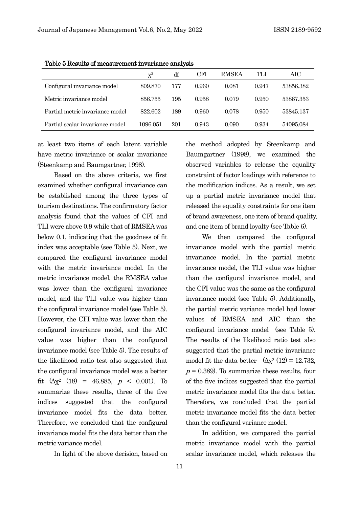|                                 | $X^2$    | df  | CFI   | <b>RMSEA</b> | TLI   | AIC       |
|---------------------------------|----------|-----|-------|--------------|-------|-----------|
| Configural invariance model     | 809.870  | 177 | 0.960 | 0.081        | 0.947 | 53856.382 |
| Metric invariance model         | 856.755  | 195 | 0.958 | 0.079        | 0.950 | 53867.353 |
| Partial metric invariance model | 822.602  | 189 | 0.960 | 0.078        | 0.950 | 53845.137 |
| Partial scalar invariance model | 1096.051 | 201 | 0.943 | 0.090        | 0.934 | 54095.084 |

Table 5 Results of measurement invariance analysis

at least two items of each latent variable have metric invariance or scalar invariance (Steenkamp and Baumgartner, 1998).

Based on the above criteria, we first examined whether configural invariance can be established among the three types of tourism destinations. The confirmatory factor analysis found that the values of CFI and TLI were above 0.9 while that of RMSEAwas below 0.1, indicating that the goodness of fit index was acceptable (see Table 5). Next, we compared the configural invariance model with the metric invariance model. In the metric invariance model, the RMSEA value was lower than the configural invariance model, and the TLI value was higher than the configural invariance model (see Table 5). However, the CFI value was lower than the configural invariance model, and the AIC value was higher than the configural invariance model (see Table 5). The results of the likelihood ratio test also suggested that the configural invariance model was a better fit  $(\Delta x^2)(18) = 46.885$ ,  $p < 0.001$ ). To summarize these results, three of the five indices suggested that the configural invariance model fits the data better. Therefore, we concluded that the configural invariance model fits the data better than the metric variance model.

In light of the above decision, based on

the method adopted by Steenkamp and Baumgartner (1998), we examined the observed variables to release the equality constraint of factor loadings with reference to the modification indices. As a result, we set up a partial metric invariance model that released the equality constraints for one item of brand awareness, one item of brand quality, and one item of brand loyalty (see Table 6).

We then compared the configural invariance model with the partial metric invariance model. In the partial metric invariance model, the TLI value was higher than the configural invariance model, and the CFI value was the same as the configural invariance model (see Table 5). Additionally, the partial metric variance model had lower values of RMSEA and AIC than the configural invariance model (see Table 5). The results of the likelihood ratio test also suggested that the partial metric invariance model fit the data better  $(\Delta x^2)(12) = 12.732$ ,  $p = 0.389$ . To summarize these results, four of the five indices suggested that the partial metric invariance model fits the data better. Therefore, we concluded that the partial metric invariance model fits the data better than the configural variance model.

In addition, we compared the partial metric invariance model with the partial scalar invariance model, which releases the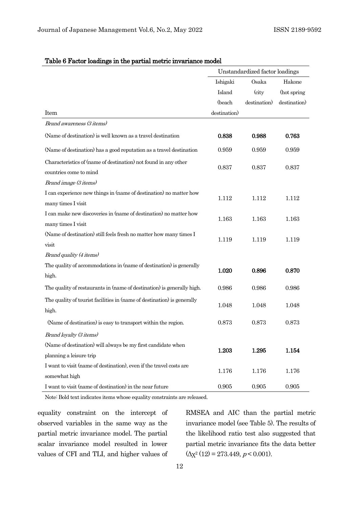|                                                                         | Unstandardized factor loadings |              |              |
|-------------------------------------------------------------------------|--------------------------------|--------------|--------------|
|                                                                         | Ishigaki                       | Osaka        | Hakone       |
|                                                                         | Island                         | (city        | (hot spring  |
|                                                                         | (beach                         | destination) | destination) |
| Item                                                                    | destination)                   |              |              |
| Brand awareness (3 items)                                               |                                |              |              |
| (Name of destination) is well known as a travel destination             | 0.838                          | 0.988        | 0.763        |
| (Name of destination) has a good reputation as a travel destination     | 0.959                          | 0.959        | 0.959        |
| Characteristics of (name of destination) not found in any other         | 0.837                          | 0.837        | 0.837        |
| countries come to mind                                                  |                                |              |              |
| Brand image (3 items)                                                   |                                |              |              |
| I can experience new things in (name of destination) no matter how      | 1.112                          | 1.112        | 1.112        |
| many times I visit                                                      |                                |              |              |
| I can make new discoveries in (name of destination) no matter how       | 1.163                          | 1.163        | 1.163        |
| many times I visit                                                      |                                |              |              |
| (Name of destination) still feels fresh no matter how many times I      | 1.119                          | 1.119        | 1.119        |
| visit                                                                   |                                |              |              |
| Brand quality (4 items)                                                 |                                |              |              |
| The quality of accommodations in (name of destination) is generally     | 1.020                          | 0.896        | 0.870        |
| high.                                                                   |                                |              |              |
| The quality of restaurants in (name of destination) is generally high.  | 0.986                          | 0.986        | 0.986        |
| The quality of tourist facilities in (name of destination) is generally | 1.048                          | 1.048        | 1.048        |
| high.                                                                   |                                |              |              |
| (Name of destination) is easy to transport within the region.           | 0.873                          | 0.873        | 0.873        |
| Brand loyalty (3 items)                                                 |                                |              |              |
| (Name of destination) will always be my first candidate when            | 1.203                          | 1.295        |              |
| planning a leisure trip                                                 |                                |              | 1.154        |
| I want to visit (name of destination), even if the travel costs are     | 1.176                          | 1.176        | 1.176        |
| somewhat high                                                           |                                |              |              |
| I want to visit (name of destination) in the near future                | 0.905                          | 0.905        | 0.905        |

## Table 6 Factor loadings in the partial metric invariance model

Note: Bold text indicates items whose equality constraints are released.

equality constraint on the intercept of observed variables in the same way as the partial metric invariance model. The partial scalar invariance model resulted in lower values of CFI and TLI, and higher values of

RMSEA and AIC than the partial metric invariance model (see Table 5). The results of the likelihood ratio test also suggested that partial metric invariance fits the data better  $(\Delta x^2 (12) = 273.449, p < 0.001).$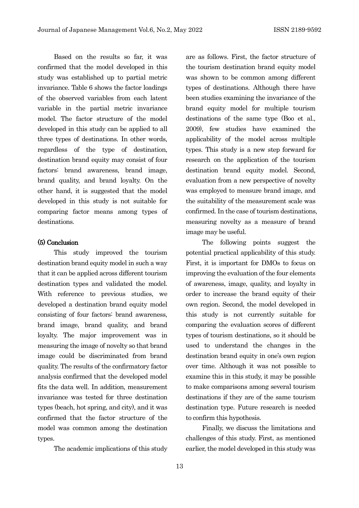Based on the results so far, it was confirmed that the model developed in this study was established up to partial metric invariance. Table 6 shows the factor loadings of the observed variables from each latent variable in the partial metric invariance model. The factor structure of the model developed in this study can be applied to all three types of destinations. In other words, regardless of the type of destination, destination brand equity may consist of four factors: brand awareness, brand image, brand quality, and brand loyalty. On the other hand, it is suggested that the model developed in this study is not suitable for comparing factor means among types of destinations.

## (5) Conclusion

This study improved the tourism destination brand equity model in such a way that it can be applied across different tourism destination types and validated the model. With reference to previous studies, we developed a destination brand equity model consisting of four factors: brand awareness, brand image, brand quality, and brand loyalty. The major improvement was in measuring the image of novelty so that brand image could be discriminated from brand quality. The results of the confirmatory factor analysis confirmed that the developed model fits the data well. In addition, measurement invariance was tested for three destination types (beach, hot spring, and city), and it was confirmed that the factor structure of the model was common among the destination types.

The academic implications of this study

are as follows. First, the factor structure of the tourism destination brand equity model was shown to be common among different types of destinations. Although there have been studies examining the invariance of the brand equity model for multiple tourism destinations of the same type (Boo et al., 2009), few studies have examined the applicability of the model across multiple types. This study is a new step forward for research on the application of the tourism destination brand equity model. Second, evaluation from a new perspective of novelty was employed to measure brand image, and the suitability of the measurement scale was confirmed. In the case of tourism destinations, measuring novelty as a measure of brand image may be useful.

The following points suggest the potential practical applicability of this study. First, it is important for DMOs to focus on improving the evaluation of the four elements of awareness, image, quality, and loyalty in order to increase the brand equity of their own region. Second, the model developed in this study is not currently suitable for comparing the evaluation scores of different types of tourism destinations, so it should be used to understand the changes in the destination brand equity in one's own region over time. Although it was not possible to examine this in this study, it may be possible to make comparisons among several tourism destinations if they are of the same tourism destination type. Future research is needed to confirm this hypothesis.

Finally, we discuss the limitations and challenges of this study. First, as mentioned earlier, the model developed in this study was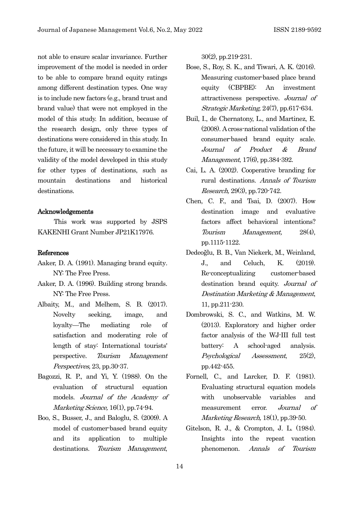not able to ensure scalar invariance. Further improvement of the model is needed in order to be able to compare brand equity ratings among different destination types. One way is to include new factors (e.g., brand trust and brand value) that were not employed in the model of this study. In addition, because of the research design, only three types of destinations were considered in this study. In the future, it will be necessary to examine the validity of the model developed in this study for other types of destinations, such as mountain destinations and historical destinations.

## Acknowledgements

This work was supported by JSPS KAKENHI Grant Number JP21K17976.

## References

- Aaker, D. A. (1991). Managing brand equity. NY: The Free Press.
- Aaker, D. A. (1996). Building strong brands. NY: The Free Press.
- Albaity, M., and Melhem, S. B. (2017). Novelty seeking, image, and loyalty—The mediating role of satisfaction and moderating role of length of stay: International tourists' perspective. Tourism Management Perspectives, 23, pp.30-37.
- Bagozzi, R. P., and Yi, Y. (1988). On the evaluation of structural equation models. Journal of the Academy of Marketing Science, 16(1), pp.74-94.
- Boo, S., Busser, J., and Baloglu, S. (2009). A model of customer-based brand equity and its application to multiple destinations. Tourism Management,

30(2), pp.219-231.

- Bose, S., Roy, S. K., and Tiwari, A. K. (2016). Measuring customer-based place brand equity (CBPBE): An investment attractiveness perspective. Journal of Strategic Marketing, 24(7), pp.617-634.
- Buil, I., de Chernatony, L., and Martinez, E. (2008). A cross-national validation of the consumer-based brand equity scale. Journal of Product & Brand Management, 17(6), pp.384-392.
- Cai, L. A. (2002). Cooperative branding for rural destinations. Annals of Tourism Research, 29(3), pp.720-742.
- Chen, C. F., and Tsai, D. (2007). How destination image and evaluative factors affect behavioral intentions? Tourism Management, 28(4), pp.1115-1122.
- Dedeoğlu, B. B., Van Niekerk, M., Weinland, J., and Celuch, K. (2019). Re-conceptualizing customer-based destination brand equity. Journal of Destination Marketing & Management, 11, pp.211-230.
- Dombrowski, S. C., and Watkins, M. W. (2013). Exploratory and higher order factor analysis of the WJ-III full test battery: A school-aged analysis. Psychological Assessment, 25(2), pp.442-455.
- Fornell, C., and Larcker, D. F. (1981). Evaluating structural equation models with unobservable variables and measurement error. Journal of Marketing Research, 18(1), pp.39-50.
- Gitelson, R. J., & Crompton, J. L. (1984). Insights into the repeat vacation phenomenon. Annals of Tourism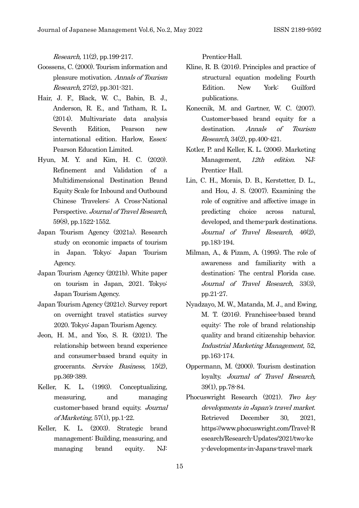Research, 11(2), pp.199-217.

- Goossens, C. (2000). Tourism information and pleasure motivation. Annals of Tourism Research, 27(2), pp.301-321.
- Hair, J. F., Black, W. C., Babin, B. J., Anderson, R. E., and Tatham, R. L. (2014). Multivariate data analysis Seventh Edition, Pearson new international edition. Harlow, Essex: Pearson Education Limited.
- Hyun, M. Y. and Kim, H. C. (2020). Refinement and Validation of a Multidimensional Destination Brand Equity Scale for Inbound and Outbound Chinese Travelers: A Cross-National Perspective. Journal of Travel Research, 59(8), pp.1522-1552.
- Japan Tourism Agency (2021a). Research study on economic impacts of tourism in Japan. Tokyo: Japan Tourism Agency.
- Japan Tourism Agency (2021b). White paper on tourism in Japan, 2021. Tokyo: Japan Tourism Agency.
- Japan Tourism Agency (2021c). Survey report on overnight travel statistics survey 2020. Tokyo: Japan Tourism Agency.
- Jeon, H. M., and Yoo, S. R. (2021). The relationship between brand experience and consumer-based brand equity in grocerants. Service Business, 15(2), pp.369-389.
- Keller, K. L. (1993). Conceptualizing, measuring, and managing customer-based brand equity. Journal of Marketing,  $57(1)$ , pp. 1-22.
- Keller, K. L. (2003). Strategic brand management: Building, measuring, and managing brand equity. NJ:

Prentice-Hall.

- Kline, R. B. (2016). Principles and practice of structural equation modeling Fourth Edition. New York: Guilford publications.
- Konecnik, M. and Gartner, W. C. (2007). Customer-based brand equity for a destination. Annals of Tourism Research, 34(2), pp.400-421.
- Kotler, P. and Keller, K. L. (2006). Marketing Management, 12th edition. NJ: Prentice- Hall.
- Lin, C. H., Morais, D. B., Kerstetter, D. L., and Hou, J. S. (2007). Examining the role of cognitive and affective image in predicting choice across natural, developed, and theme-park destinations. Journal of Travel Research, 46(2), pp.183-194.
- Milman, A., & Pizam, A. (1995). The role of awareness and familiarity with a destination: The central Florida case. Journal of Travel Research, 33(3), pp.21-27.
- Nyadzayo, M. W., Matanda, M. J., and Ewing, M. T. (2016). Franchisee-based brand equity: The role of brand relationship quality and brand citizenship behavior. Industrial Marketing Management, 52, pp.163-174.
- Oppermann, M. (2000). Tourism destination loyalty. Journal of Travel Research, 39(1), pp.78-84.
- Phocuswright Research (2021). Two key developments in Japan's travel market. Retrieved December 30, 2021, https://www.phocuswright.com/Travel-R esearch/Research-Updates/2021/two-ke y-developments-in-Japans-travel-mark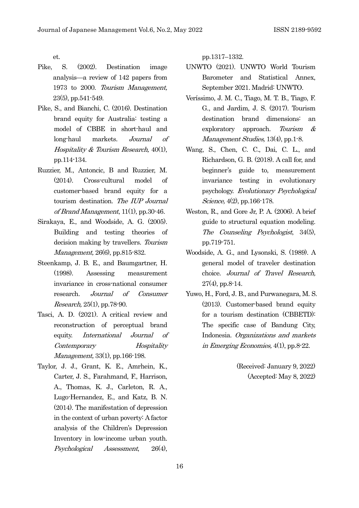et.

- Pike, S. (2002). Destination image analysis—a review of 142 papers from 1973 to 2000. Tourism Management, 23(5), pp.541-549.
- Pike, S., and Bianchi, C. (2016). Destination brand equity for Australia: testing a model of CBBE in short-haul and long-haul markets. Journal of Hospitality  $&$  Tourism Research, 40(1), pp.114-134.
- Ruzzier, M., Antoncic, B and Ruzzier, M. (2014). Cross-cultural model of customer-based brand equity for a tourism destination. The IUP Journal of Brand Management,  $11(1)$ , pp. 30-46.
- Sirakaya, E., and Woodside, A. G. (2005). Building and testing theories of decision making by travellers. Tourism Management, 26(6), pp.815-832.
- Steenkamp, J. B. E., and Baumgartner, H. (1998). Assessing measurement invariance in cross-national consumer research. Journal of Consumer Research, 25(1), pp.78-90.
- Tasci, A. D. (2021). A critical review and reconstruction of perceptual brand equity. International Journal of Contemporary Hospitality Management, 33(1), pp.166-198.
- Taylor, J. J., Grant, K. E., Amrhein, K., Carter, J. S., Farahmand, F., Harrison, A., Thomas, K. J., Carleton, R. A., Lugo-Hernandez, E., and Katz, B. N. (2014). The manifestation of depression in the context of urban poverty: A factor analysis of the Children's Depression Inventory in low-income urban youth. Psychological Assessment, 26(4),

pp.1317–1332.

- UNWTO (2021). UNWTO World Tourism Barometer and Statistical Annex, September 2021. Madrid: UNWTO.
- Veríssimo, J. M. C., Tiago, M. T. B., Tiago, F. G., and Jardim, J. S. (2017). Tourism destination brand dimensions: an exploratory approach. Tourism & Management Studies, 13(4), pp.1-8.
- Wang, S., Chen, C. C., Dai, C. L., and Richardson, G. B. (2018). A call for, and beginner's guide to, measurement invariance testing in evolutionary psychology. Evolutionary Psychological Science, 4(2), pp.166-178.
- Weston, R., and Gore Jr, P. A. (2006). A brief guide to structural equation modeling. The Counseling Psychologist, 34(5), pp.719-751.
- Woodside, A. G., and Lysonski, S. (1989). A general model of traveler destination choice. Journal of Travel Research,  $27(4)$ , pp.8-14.
- Yuwo, H., Ford, J. B., and Purwanegara, M. S. (2013). Customer-based brand equity for a tourism destination (CBBETD): The specific case of Bandung City, Indonesia. Organizations and markets in Emerging Economies, 4(1), pp.8-22.

(Received: January 9, 2022) (Accepted: May 8, 2022)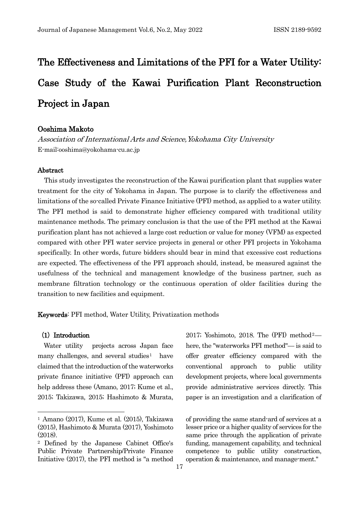# The Effectiveness and Limitations of the PFI for a Water Utility: Case Study of the Kawai Purification Plant Reconstruction Project in Japan

## Ooshima Makoto

Association of International Arts and Science,Yokohama City University E-mail:ooshima@yokohama-cu.ac.jp

## Abstract

This study investigates the reconstruction of the Kawai purification plant that supplies water treatment for the city of Yokohama in Japan. The purpose is to clarify the effectiveness and limitations of the so-called Private Finance Initiative (PFI) method, as applied to a water utility. The PFI method is said to demonstrate higher efficiency compared with traditional utility maintenance methods. The primary conclusion is that the use of the PFI method at the Kawai purification plant has not achieved a large cost reduction or value for money (VFM) as expected compared with other PFI water service projects in general or other PFI projects in Yokohama specifically. In other words, future bidders should bear in mind that excessive cost reductions are expected. The effectiveness of the PFI approach should, instead, be measured against the usefulness of the technical and management knowledge of the business partner, such as membrane filtration technology or the continuous operation of older facilities during the transition to new facilities and equipment.

Keywords: PFI method, Water Utility, Privatization methods

#### (1) Introduction

Water utility projects across Japan face many challenges, and several studies<sup>[1](#page-23-0)</sup> have claimed that the introduction of the waterworks private finance initiative (PFI) approach can help address these (Amano, 2017; Kume et al., 2015; Takizawa, 2015; Hashimoto & Murata, [2](#page-23-1)017; Yoshimoto, 2018. The  $(PFI)$  method<sup>2</sup> here, the "waterworks PFI method"— is said to offer greater efficiency compared with the conventional approach to public utility development projects, where local governments provide administrative services directly. This paper is an investigation and a clarification of

of providing the same stand-ard of services at a lesser price or a higher quality of services for the same price through the application of private funding, management capability, and technical competence to public utility construction, operation & maintenance, and manage-ment."

<span id="page-23-0"></span><sup>1</sup> Amano (2017), Kume et al. (2015), Takizawa (2015), Hashimoto & Murata (2017), Yoshimoto (2018).

<span id="page-23-1"></span><sup>2</sup> Defined by the Japanese Cabinet Office's Public Private Partnership/Private Finance Initiative (2017), the PFI method is "a method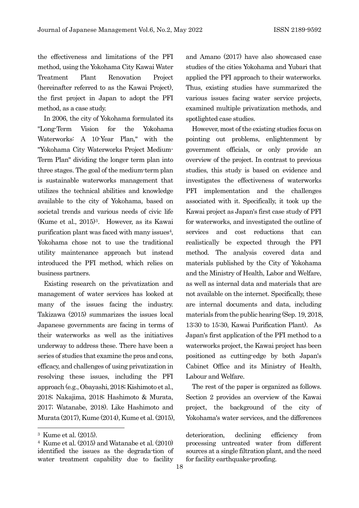the effectiveness and limitations of the PFI method, using the Yokohama City Kawai Water Treatment Plant Renovation Project (hereinafter referred to as the Kawai Project), the first project in Japan to adopt the PFI method, as a case study.

In 2006, the city of Yokohama formulated its "Long-Term Vision for the Yokohama Waterworks: A 10-Year Plan," with the "Yokohama City Waterworks Project Medium-Term Plan" dividing the longer term plan into three stages. The goal of the medium-term plan is sustainable waterworks management that utilizes the technical abilities and knowledge available to the city of Yokohama, based on societal trends and various needs of civic life (Kume et al., 2015[\)3](#page-24-0). However, as its Kawai purification plant was faced with many issues $4$ , Yokohama chose not to use the traditional utility maintenance approach but instead introduced the PFI method, which relies on business partners.

Existing research on the privatization and management of water services has looked at many of the issues facing the industry. Takizawa (2015) summarizes the issues local Japanese governments are facing in terms of their waterworks as well as the initiatives underway to address these. There have been a series of studies that examine the pros and cons, efficacy, and challenges of using privatization in resolving these issues, including the PFI approach (e.g., Obayashi, 2018; Kishimoto et al., 2018; Nakajima, 2018; Hashimoto & Murata, 2017; Watanabe, 2018). Like Hashimoto and Murata (2017), Kume (2014), Kume et al. (2015), and Amano (2017) have also showcased case studies of the cities Yokohama and Yubari that applied the PFI approach to their waterworks. Thus, existing studies have summarized the various issues facing water service projects, examined multiple privatization methods, and spotlighted case studies.

However, most of the existing studies focus on pointing out problems, enlightenment by government officials, or only provide an overview of the project. In contrast to previous studies, this study is based on evidence and investigates the effectiveness of waterworks PFI implementation and the challenges associated with it. Specifically, it took up the Kawai project as Japan's first case study of PFI for waterworks, and investigated the outline of services and cost reductions that can realistically be expected through the PFI method. The analysis covered data and materials published by the City of Yokohama and the Ministry of Health, Labor and Welfare, as well as internal data and materials that are not available on the internet. Specifically, these are internal documents and data, including materials from the public hearing (Sep. 19, 2018, 13:30 to 15:30, Kawai Purification Plant). As Japan's first application of the PFI method to a waterworks project, the Kawai project has been positioned as cutting-edge by both Japan's Cabinet Office and its Ministry of Health, Labour and Welfare.

The rest of the paper is organized as follows. Section 2 provides an overview of the Kawai project, the background of the city of Yokohama's water services, and the differences

<span id="page-24-0"></span><sup>3</sup> Kume et al. (2015).

<span id="page-24-1"></span><sup>4</sup> Kume et al. (2015) and Watanabe et al. (2010) identified the issues as the degrada-tion of water treatment capability due to facility

deterioration, declining efficiency from processing untreated water from different sources at a single filtration plant, and the need for facility earthquake-proofing.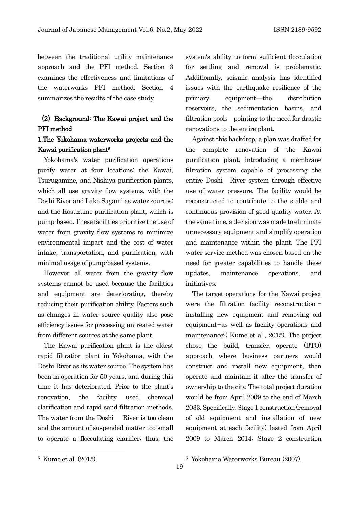between the traditional utility maintenance approach and the PFI method. Section 3 examines the effectiveness and limitations of the waterworks PFI method. Section 4 summarizes the results of the case study.

## (2) Background: The Kawai project and the PFI method

## 1.The Yokohama waterworks projects and the Kawai purification plan[t5](#page-25-0)

Yokohama's water purification operations purify water at four locations: the Kawai, Tsurugamine, and Nishiya purification plants, which all use gravity flow systems, with the Doshi River and Lake Sagami as water sources; and the Kosuzume purification plant, which is pump-based. These facilities prioritize the use of water from gravity flow systems to minimize environmental impact and the cost of water intake, transportation, and purification, with minimal usage of pump-based systems.

However, all water from the gravity flow systems cannot be used because the facilities and equipment are deteriorating, thereby reducing their purification ability. Factors such as changes in water source quality also pose efficiency issues for processing untreated water from different sources at the same plant.

The Kawai purification plant is the oldest rapid filtration plant in Yokohama, with the Doshi River as its water source. The system has been in operation for 50 years, and during this time it has deteriorated. Prior to the plant's renovation, the facility used chemical clarification and rapid sand filtration methods. The water from the Doshi River is too clean and the amount of suspended matter too small to operate a flocculating clarifier; thus, the system's ability to form sufficient flocculation for settling and removal is problematic. Additionally, seismic analysis has identified issues with the earthquake resilience of the primary equipment—the distribution reservoirs, the sedimentation basins, and filtration pools—pointing to the need for drastic renovations to the entire plant.

Against this backdrop, a plan was drafted for the complete renovation of the Kawai purification plant, introducing a membrane filtration system capable of processing the entire Doshi River system through effective use of water pressure. The facility would be reconstructed to contribute to the stable and continuous provision of good quality water. At the same time, a decision was made to eliminate unnecessary equipment and simplify operation and maintenance within the plant. The PFI water service method was chosen based on the need for greater capabilities to handle these updates, maintenance operations, and initiatives.

The target operations for the Kawai project were the filtration facility reconstruction installing new equipment and removing old equipment—as well as facility operations and maintenanc[e6\(](#page-25-0) Kume et al., 2015). The project chose the build, transfer, operate (BTO) approach where business partners would construct and install new equipment, then operate and maintain it after the transfer of ownership to the city. The total project duration would be from April 2009 to the end of March 2033. Specifically, Stage 1 construction (removal of old equipment and installation of new equipment at each facility) lasted from April 2009 to March 2014; Stage 2 construction

<span id="page-25-0"></span><sup>5</sup> Kume et al. (2015).

<sup>6</sup> Yokohama Waterworks Bureau (2007).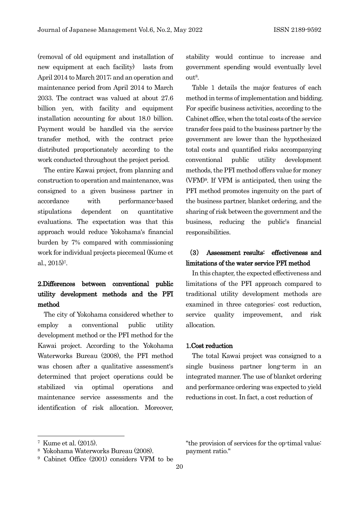(removal of old equipment and installation of new equipment at each facility) lasts from April 2014 to March 2017; and an operation and maintenance period from April 2014 to March 2033. The contract was valued at about 27.6 billion yen, with facility and equipment installation accounting for about 18.0 billion. Payment would be handled via the service transfer method, with the contract price distributed proportionately according to the work conducted throughout the project period.

The entire Kawai project, from planning and construction to operation and maintenance, was consigned to a given business partner in accordance with performance-based stipulations dependent on quantitative evaluations. The expectation was that this approach would reduce Yokohama's financial burden by 7% compared with commissioning work for individual projects piecemeal (Kume et al., 2015[\)7.](#page-26-0)

# 2.Differences between conventional public utility development methods and the PFI method

The city of Yokohama considered whether to employ a conventional public utility development method or the PFI method for the Kawai project. According to the Yokohama Waterworks Bureau (2008), the PFI method was chosen after a qualitative assessment's determined that project operations could be stabilized via optimal operations and maintenance service assessments and the identification of risk allocation. Moreover,

stability would continue to increase and government spending would eventually level ou[t8.](#page-26-1)

Table 1 details the major features of each method in terms of implementation and bidding. For specific business activities, according to the Cabinet office, when the total costs of the service transfer fees paid to the business partner by the government are lower than the hypothesized total costs and quantified risks accompanying conventional public utility development methods, the PFI method offers value for money (VFM)[9](#page-26-2). If VFM is anticipated, then using the PFI method promotes ingenuity on the part of the business partner, blanket ordering, and the sharing of risk between the government and the business, reducing the public's financial responsibilities.

# (3) Assessment results: effectiveness and limitations of the water service PFI method

In this chapter, the expected effectiveness and limitations of the PFI approach compared to traditional utility development methods are examined in three categories: cost reduction, service quality improvement, and risk allocation.

## 1.Cost reduction

The total Kawai project was consigned to a single business partner long-term in an integrated manner. The use of blanket ordering and performance ordering was expected to yield reductions in cost. In fact, a cost reduction of

<span id="page-26-0"></span><sup>7</sup> Kume et al. (2015).

<span id="page-26-1"></span><sup>8</sup> Yokohama Waterworks Bureau (2008).

<span id="page-26-2"></span><sup>9</sup> Cabinet Office (2001) considers VFM to be

<sup>&</sup>quot;the provision of services for the op-timal value: payment ratio."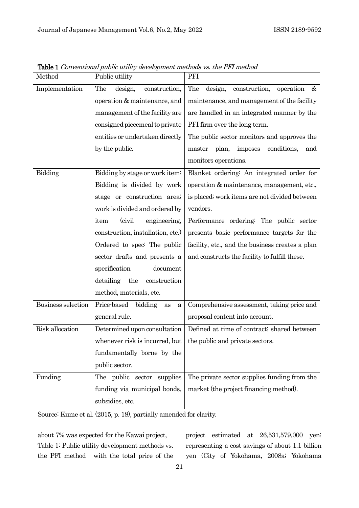| Method             | Public utility                                                         | PFI                                               |
|--------------------|------------------------------------------------------------------------|---------------------------------------------------|
| Implementation     | The<br>design,<br>construction,                                        | The<br>design,<br>construction,<br>operation<br>& |
|                    | operation $&$ maintenance, and                                         | maintenance, and management of the facility       |
|                    | management of the facility are                                         | are handled in an integrated manner by the        |
|                    | consigned piecemeal to private                                         | PFI firm over the long term.                      |
|                    | entities or undertaken directly                                        | The public sector monitors and approves the       |
|                    | by the public.                                                         | conditions,<br>master plan, imposes<br>and        |
|                    |                                                                        | monitors operations.                              |
| Bidding            | Bidding by stage or work item:                                         | Blanket ordering: An integrated order for         |
|                    | Bidding is divided by work                                             | operation & maintenance, management, etc.,        |
|                    | stage or construction area;                                            | is placed; work items are not divided between     |
|                    | work is divided and ordered by                                         | vendors.                                          |
|                    | (civil)<br>item<br>engineering,                                        | Performance ordering: The public sector           |
|                    | construction, installation, etc.)                                      | presents basic performance targets for the        |
|                    | Ordered to spec: The public                                            | facility, etc., and the business creates a plan   |
|                    | sector drafts and presents a                                           | and constructs the facility to fulfill these.     |
|                    | specification<br>document                                              |                                                   |
|                    | detailing<br>the<br>construction                                       |                                                   |
|                    | method, materials, etc.                                                |                                                   |
| Business selection | Price-based<br>bidding<br>as<br>a                                      | Comprehensive assessment, taking price and        |
|                    | general rule.                                                          | proposal content into account.                    |
| Risk allocation    | Determined upon consultation                                           | Defined at time of contract; shared between       |
|                    | whenever risk is incurred, but $\vert$ the public and private sectors. |                                                   |
|                    | fundamentally borne by the                                             |                                                   |
|                    | public sector.                                                         |                                                   |
| Funding            | The public sector supplies                                             | The private sector supplies funding from the      |
|                    | funding via municipal bonds,                                           | market (the project financing method).            |
|                    | subsidies, etc.                                                        |                                                   |
|                    |                                                                        |                                                   |

Table 1 Conventional public utility development methods vs. the PFI method

Source: Kume et al. (2015, p. 18), partially amended for clarity.

about 7% was expected for the Kawai project, Table 1: Public utility development methods vs. the PFI method with the total price of the project estimated at 26,531,579,000 yen; representing a cost savings of about 1.1 billion yen (City of Yokohama, 2008a; Yokohama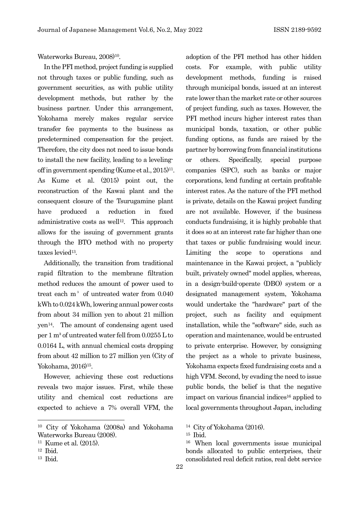Waterworks Bureau, 2008)<sup>10</sup>.

In the PFI method, project funding is supplied not through taxes or public funding, such as government securities, as with public utility development methods, but rather by the business partner. Under this arrangement, Yokohama merely makes regular service transfer fee payments to the business as predetermined compensation for the project. Therefore, the city does not need to issue bonds to install the new facility, leading to a levelingoff in government spending (Kume et al.,  $2015$ )<sup>11</sup>. As Kume et al. (2015) point out, the reconstruction of the Kawai plant and the consequent closure of the Tsurugamine plant have produced a reduction in fixed administrative costs as well<sup>12</sup>. This approach allows for the issuing of government grants through the BTO method with no property taxes levied<sup>13</sup>.

Additionally, the transition from traditional rapid filtration to the membrane filtration method reduces the amount of power used to treat each  $m^3$  of untreated water from  $0.040$ kWh to 0.024 kWh, lowering annual power costs from about 34 million yen to about 21 million yen[14.](#page-28-0) The amount of condensing agent used per 1 m<sup>3</sup> of untreated water fell from  $0.0255$  L to 0.0164 L, with annual chemical costs dropping from about 42 million to 27 million yen (City of Yokohama, 2016)<sup>15</sup>.

However, achieving these cost reductions reveals two major issues. First, while these utility and chemical cost reductions are expected to achieve a 7% overall VFM, the adoption of the PFI method has other hidden costs. For example, with public utility development methods, funding is raised through municipal bonds, issued at an interest rate lower than the market rate or other sources of project funding, such as taxes. However, the PFI method incurs higher interest rates than municipal bonds, taxation, or other public funding options, as funds are raised by the partner by borrowing from financial institutions or others. Specifically, special purpose companies (SPC), such as banks or major corporations, lend funding at certain profitable interest rates. As the nature of the PFI method is private, details on the Kawai project funding are not available. However, if the business conducts fundraising, it is highly probable that it does so at an interest rate far higher than one that taxes or public fundraising would incur. Limiting the scope to operations and maintenance in the Kawai project, a "publicly built, privately owned" model applies, whereas, in a design-build-operate (DBO) system or a designated management system, Yokohama would undertake the "hardware" part of the project, such as facility and equipment installation, while the "software" side, such as operation and maintenance, would be entrusted to private enterprise. However, by consigning the project as a whole to private business, Yokohama expects fixed fundraising costs and a high VFM. Second, by evading the need to issue public bonds, the belief is that the negative impact on various financial indices<sup>16</sup> applied to local governments throughout Japan, including

<sup>16</sup> When local governments issue municipal bonds allocated to public enterprises, their consolidated real deficit ratios, real debt service

<span id="page-28-4"></span><span id="page-28-0"></span><sup>10</sup> City of Yokohama (2008a) and Yokohama Waterworks Bureau (2008).

<span id="page-28-1"></span><sup>11</sup> Kume et al. (2015).

<span id="page-28-2"></span><sup>12</sup> Ibid.

<span id="page-28-3"></span><sup>13</sup> Ibid.

<sup>14</sup> City of Yokohama (2016).

<sup>15</sup> Ibid.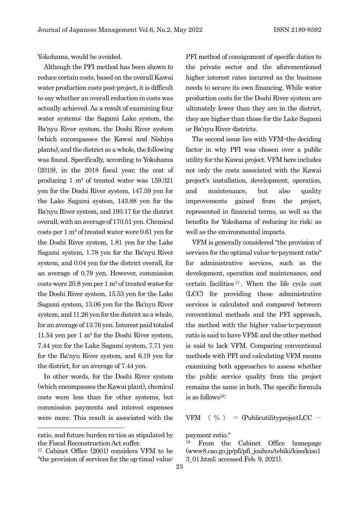Yokohama, would be avoided.

Although the PFI method has been shown to reduce certain costs, based on the overall Kawai water production costs post-project, it is difficult to say whether an overall reduction in costs was actually achieved. As a result of examining four water systems: the Sagami Lake system, the Ba'nyu River system, the Doshi River system (which encompasses the Kawai and Nishiya plants), and the district as a whole, the following was found. Specifically, according to Yokohama (2019), in the 2018 fiscal year, the cost of producing 1  $m<sup>3</sup>$  of treated water was 159.321 yen for the Doshi River system, 147.59 yen for the Lake Sagami system, 143.88 yen for the Ba'nyu River system, and 193.17 for the district overall,with an average of 170.51 yen. Chemical costs per 1 m³ of treated water were 0.61 yen for the Doshi River system, 1.81 yen for the Lake Sagami system, 1.78 yen for the Ba'nyu River system, and 0.04 yen for the district overall, for an average of 0.79 yen. However, commission costs were  $20.8$  yen per 1 m<sup>3</sup> of treated water for the Doshi River system, 15.53 yen for the Lake Sagami system, 13.06 yen for the Ba'nyu River system, and 11.26 yen for the district as a whole, for an average of 13.76 yen. Interest paid totaled 11.54 yen per  $1 \text{ m}^3$  for the Doshi River system, 7.44 yen for the Lake Sagami system, 7.71 yen for the Ba'nyu River system, and 6.19 yen for the district, for an average of 7.44 yen.

In other words, for the Doshi River system (which encompasses the Kawai plant), chemical costs were less than for other systems, but commission payments and interest expenses were more. This result is associated with the PFI method of consignment of specific duties to the private sector and the aforementioned higher interest rates incurred as the business needs to secure its own financing. While water production costs for the Doshi River system are ultimately lower than they are in the district, they are higher than those for the Lake Sagami or Ba'nyu River districts.

The second issue lies with VFM—the deciding factor in why PFI was chosen over a public utility for the Kawai project. VFM here includes not only the costs associated with the Kawai project's installation, development, operation, and maintenance, but also quality improvements gained from the project, represented in financial terms, as well as the benefits for Yokohama of reducing its risk; as well as the environmental impacts.

VFM is generally considered "the provision of services for the optimal value-to-payment ratio" for administrative services, such as the development, operation and maintenance, and certain facilities [17](#page-29-0) . When the life cycle cost (LCC) for providing these administrative services is calculated and compared between conventional methods and the PFI approach, the method with the higher value-to-payment ratio is said to have VFM; and the other method is said to lack VFM. Comparing conventional methods with PFI and calculating VFM means examining both approaches to assess whether the public service quality from the project remains the same in both. The specific formula is as follow[s18:](#page-29-1)

VFM  $\left(\begin{array}{c} \% \\ \end{array}\right)$  = (PublicutilityprojectLCC -

payment ratio."

<span id="page-29-1"></span>ratio, and future burden ra-tios as stipulated by the Fiscal Reconstruction Act suffer.

<span id="page-29-0"></span><sup>17</sup> Cabinet Office (2001) considers VFM to be "the provision of services for the op-timal value:

<sup>18</sup> From the Cabinet Office homepage (www8.cao.go.jp/pfi/pfi\_jouhou/tebiki/kiso/kiso1 3\_01.html; accessed Feb. 9, 2021).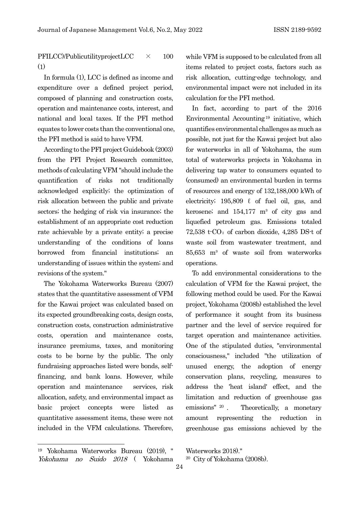PFILCC)/PublicutilityprojectLCC × 100 (1)

In formula (1), LCC is defined as income and expenditure over a defined project period, composed of planning and construction costs, operation and maintenance costs, interest, and national and local taxes. If the PFI method equates to lower costs than the conventional one, the PFI method is said to have VFM.

According to the PFI project Guidebook (2003) from the PFI Project Research committee, methods of calculating VFM "should include the quantification of risks not traditionally acknowledged explicitly; the optimization of risk allocation between the public and private sectors; the hedging of risk via insurance; the establishment of an appropriate cost reduction rate achievable by a private entity; a precise understanding of the conditions of loans borrowed from financial institutions; an understanding of issues within the system; and revisions of the system."

The Yokohama Waterworks Bureau (2007) states that the quantitative assessment of VFM for the Kawai project was calculated based on its expected groundbreaking costs, design costs, construction costs, construction administrative costs, operation and maintenance costs, insurance premiums, taxes, and monitoring costs to be borne by the public. The only fundraising approaches listed were bonds, selffinancing, and bank loans. However, while operation and maintenance services, risk allocation, safety, and environmental impact as basic project concepts were listed as quantitative assessment items, these were not included in the VFM calculations. Therefore,

while VFM is supposed to be calculated from all items related to project costs, factors such as risk allocation, cutting-edge technology, and environmental impact were not included in its calculation for the PFI method.

In fact, according to part of the 2016 Environmental Accounting<sup>[19](#page-30-0)</sup> initiative, which quantifies environmental challenges as much as possible, not just for the Kawai project but also for waterworks in all of Yokohama, the sum total of waterworks projects in Yokohama in delivering tap water to consumers equated to (consumed) an environmental burden in terms of resources and energy of 132,188,000 kWh of electricity;  $195,809 \ell$  of fuel oil, gas, and kerosene; and  $154,177$  m<sup>3</sup> of city gas and liquefied petroleum gas. Emissions totaled  $72,538$  t $\text{CO}_2$  of carbon dioxide, 4,285 DS-t of waste soil from wastewater treatment, and 85,653 m³ of waste soil from waterworks operations.

To add environmental considerations to the calculation of VFM for the Kawai project, the following method could be used. For the Kawai project, Yokohama (2008b) established the level of performance it sought from its business partner and the level of service required for target operation and maintenance activities. One of the stipulated duties, "environmental consciousness," included "the utilization of unused energy, the adoption of energy conservation plans, recycling, measures to address the 'heat island' effect, and the limitation and reduction of greenhouse gas emissions" [20](#page-30-1) . Theoretically, a monetary amount representing the reduction in greenhouse gas emissions achieved by the

Waterworks 2018)."

<span id="page-30-1"></span><span id="page-30-0"></span><sup>19</sup> Yokohama Waterworks Bureau (2019), " Yokohama no Suido 2018 ( Yokohama

<sup>20</sup> City of Yokohama (2008b).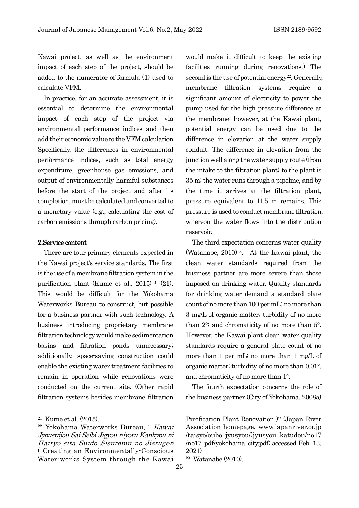Kawai project, as well as the environment impact of each step of the project, should be added to the numerator of formula (1) used to calculate VFM.

In practice, for an accurate assessment, it is essential to determine the environmental impact of each step of the project via environmental performance indices and then add their economic value to the VFM calculation. Specifically, the differences in environmental performance indices, such as total energy expenditure, greenhouse gas emissions, and output of environmentally harmful substances before the start of the project and after its completion, must be calculated and converted to a monetary value (e.g., calculating the cost of carbon emissions through carbon pricing).

## 2.Service content

There are four primary elements expected in the Kawai project's service standards. The first is the use of a membrane filtration system in the purification plant (Kume et al., 2015)<sup>[21](#page-31-0)</sup> (21). This would be difficult for the Yokohama Waterworks Bureau to construct, but possible for a business partner with such technology. A business introducing proprietary membrane filtration technology would make sedimentation basins and filtration ponds unnecessary; additionally, space-saving construction could enable the existing water treatment facilities to remain in operation while renovations were conducted on the current site. (Other rapid filtration systems besides membrane filtration

would make it difficult to keep the existing facilities running during renovations.) The second is the use of potential energy<sup>22</sup>. Generally, membrane filtration systems require a significant amount of electricity to power the pump used for the high pressure difference at the membrane; however, at the Kawai plant, potential energy can be used due to the difference in elevation at the water supply conduit. The difference in elevation from the junction well along the water supply route (from the intake to the filtration plant) to the plant is 35 m; the water runs through a pipeline, and by the time it arrives at the filtration plant, pressure equivalent to 11.5 m remains. This pressure is used to conduct membrane filtration, whereon the water flows into the distribution reservoir.

The third expectation concerns water quality (Watanabe, 2010[\)23](#page-31-2). At the Kawai plant, the clean water standards required from the business partner are more severe than those imposed on drinking water. Quality standards for drinking water demand a standard plate count of no more than 100 per mL; no more than 3 mg/L of organic matter; turbidity of no more than 2°; and chromaticity of no more than 5°. However, the Kawai plant clean water quality standards require a general plate count of no more than 1 per mL; no more than 1 mg/L of organic matter; turbidity of no more than 0.01°, and chromaticity of no more than 1°.

The fourth expectation concerns the role of the business partner (City of Yokohama, 2008a)

<span id="page-31-0"></span><sup>21</sup> Kume et al. (2015).

<span id="page-31-2"></span><span id="page-31-1"></span><sup>22</sup> Yokohama Waterworks Bureau, " Kawai Jyousuijou Sai Seibi Jigyou niyoru Kankyou ni Hairyo sita Suido Sisutemu no Jistugen ( Creating an Environmentally-Conscious Water-works System through the Kawai

Purification Plant Renovation )" (Japan River Association homepage, www.japanriver.or.jp /taisyo/oubo\_jyusyou/)jyusyou\_katudou/no17 /no17\_pdf/yokohama\_city.pdf; accessed Feb. 13, 2021)

<sup>23</sup> Watanabe (2010).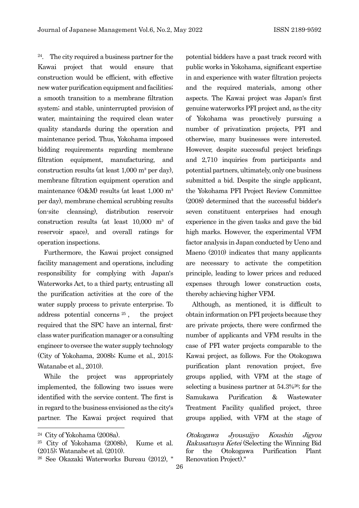$24$ . The city required a business partner for the Kawai project that would ensure that construction would be efficient, with effective new water purification equipment and facilities; a smooth transition to a membrane filtration system; and stable, uninterrupted provision of water, maintaining the required clean water quality standards during the operation and maintenance period. Thus, Yokohama imposed bidding requirements regarding membrane filtration equipment, manufacturing, and construction results (at least  $1,000$  m<sup>3</sup> per day), membrane filtration equipment operation and maintenance  $(O&M)$  results (at least 1,000 m<sup>3</sup> per day), membrane chemical scrubbing results (on-site cleansing), distribution reservoir construction results (at least  $10,000$  m<sup>3</sup> of reservoir space), and overall ratings for operation inspections.

Furthermore, the Kawai project consigned facility management and operations, including responsibility for complying with Japan's Waterworks Act, to a third party, entrusting all the purification activities at the core of the water supply process to private enterprise. To address potential concerns [25](#page-32-1) , the project required that the SPC have an internal, firstclass water purification manager or a consulting engineer to oversee the water supply technology (City of Yokohama, 2008b; Kume et al., 2015; Watanabe et al., 2010).

While the project was appropriately implemented, the following two issues were identified with the service content. The first is in regard to the business envisioned as the city's partner. The Kawai project required that potential bidders have a past track record with public works in Yokohama, significant expertise in and experience with water filtration projects and the required materials, among other aspects. The Kawai project was Japan's first genuine waterworks PFI project and, as the city of Yokohama was proactively pursuing a number of privatization projects, PFI and otherwise, many businesses were interested. However, despite successful project briefings and 2,710 inquiries from participants and potential partners, ultimately, only one business submitted a bid. Despite the single applicant, the Yokohama PFI Project Review Committee (2008) determined that the successful bidder's seven constituent enterprises had enough experience in the given tasks and gave the bid high marks. However, the experimental VFM factor analysis in Japan conducted by Ueno and Maeno (2010) indicates that many applicants are necessary to activate the competition principle, leading to lower prices and reduced expenses through lower construction costs, thereby achieving higher VFM.

Although, as mentioned, it is difficult to obtain information on PFI projects because they are private projects, there were confirmed the number of applicants and VFM results in the case of PFI water projects comparable to the Kawai project, as follows. For the Otokogawa purification plant renovation project, five groups applied, with VFM at the stage of selecting a business partner at 54.3[%26](#page-32-2); for the Samukawa Purification & Wastewater Treatment Facility qualified project, three groups applied, with VFM at the stage of

Otokogawa Jyousuijyo Koushin Jigyou Rakusatusya Ketei (Selecting the Winning Bid for the Otokogawa Purification Plant Renovation Project)."

<span id="page-32-0"></span><sup>24</sup> City of Yokohama (2008a).

<span id="page-32-1"></span><sup>25</sup> City of Yokohama (2008b), Kume et al. (2015); Watanabe et al. (2010).

<span id="page-32-2"></span><sup>26</sup> See Okazaki Waterworks Bureau (2012), "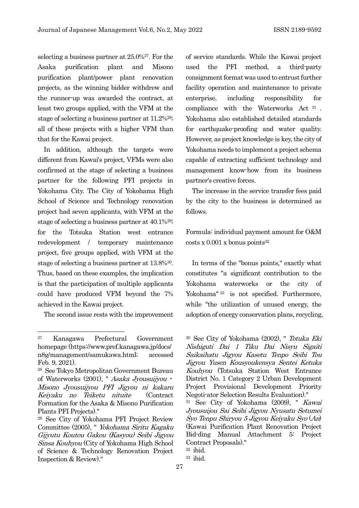selecting a business partner at 25.0%[27](#page-33-0). For the Asaka purification plant and Misono purification plant/power plant renovation projects, as the winning bidder withdrew and the runner-up was awarded the contract, at least two groups applied, with the VFM at the stage of selecting a business partner at 11.2[%28](#page-33-1); all of these projects with a higher VFM than that for the Kawai project.

In addition, although the targets were different from Kawai's project, VFMs were also confirmed at the stage of selecting a business partner for the following PFI projects in Yokohama City. The City of Yokohama High School of Science and Technology renovation project had seven applicants, with VFM at the stage of selecting a business partner at 40.1[%29](#page-33-2); for the Totsuka Station west entrance redevelopment / temporary maintenance project, five groups applied, with VFM at the stage of selecting a business partner at 13.8[%30](#page-33-0). Thus, based on these examples, the implication is that the participation of multiple applicants could have produced VFM beyond the 7% achieved in the Kawai project.

The second issue rests with the improvement

of service standards. While the Kawai project used the PFI method, a third-party consignment format was used to entrust further facility operation and maintenance to private enterprise, including responsibility for compliance with the Waterworks Act [31](#page-33-3) . Yokohama also established detailed standards for earthquake-proofing and water quality. However, as project knowledge is key, the city of Yokohama needs to implement a project schema capable of extracting sufficient technology and management know-how from its business partner's creative forces.

The increase in the service transfer fees paid by the city to the business is determined as follows.

Formula: individual payment amount for O&M  $costs x 0.001 x bonus points<sup>32</sup>$ 

In terms of the "bonus points," exactly what constitutes "a significant contribution to the Yokohama waterworks or the city of Yokohama" [33](#page-33-5) is not specified. Furthermore, while "the utilization of unused energy, the adoption of energy conservation plans, recycling,

<sup>30</sup> See City of Yokohama (2002), " Totuka Eki Nishiguti Dai 1 Tiku Dai Nisyu Sigaiti Saikaihatu Jigyou Kasetu Tenpo Seibi Tou Jigyou Yusen Kousyoukensya Sentei Ketuka Kouhyou (Totsuka Station West Entrance District No. 1 Category 2 Urban Development Project Provisional Development Priority Negoti-ator Selection Results Evaluation)."

<sup>31</sup> See City of Yokohama (2009), " Kawai Jyousuijou Sai Seibi Jigyou Nyusatu Setumei Syo Tenpu Shiryou 5 Jigyou Keiyaku Syo (An) (Kawai Purification Plant Renovation Project Bid-ding Manual Attachment 5: Project Contract Proposals)."

<span id="page-33-0"></span><sup>27</sup> Kanagawa Prefectural Government homepage (https://www.pref.kanagawa.jp/docs/ n8g/management/samukawa.html; accessed Feb. 9, 2021).

<span id="page-33-1"></span><sup>28</sup> See Tokyo Metropolitan Government Bureau of Waterworks (2001), " Asaka Jyousuijyou • Misono Jyousuijyou PFI Jigyou ni kakaru Keiyaku no Teiketu nituite (Contract Formation for the Asaka & Misono Purification Plants PFI Projects)."

<span id="page-33-5"></span><span id="page-33-4"></span><span id="page-33-3"></span><span id="page-33-2"></span><sup>29</sup> See City of Yokohama PFI Project Review Committee (2005), " Yokohama Siritu Kagaku Gijyutu Koutou Gakou (Kasyou) Seibi Jigyou Sinsa Kouhyou (City of Yokohama High School of Science & Technology Renovation Project Inspection & Review)."

<sup>32</sup> ibid.

<sup>33</sup> ibid.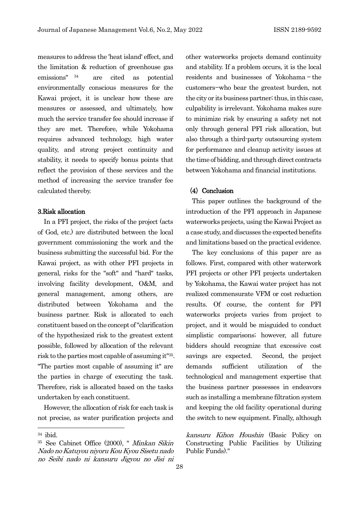measures to address the 'heat island' effect, and the limitation & reduction of greenhouse gas emissions" [34](#page-34-0) are cited as potential environmentally conscious measures for the Kawai project, it is unclear how these are measures or assessed, and ultimately, how much the service transfer fee should increase if they are met. Therefore, while Yokohama requires advanced technology, high water quality, and strong project continuity and stability, it needs to specify bonus points that reflect the provision of these services and the method of increasing the service transfer fee calculated thereby.

## 3.Risk allocation

In a PFI project, the risks of the project (acts of God, etc.) are distributed between the local government commissioning the work and the business submitting the successful bid. For the Kawai project, as with other PFI projects in general, risks for the "soft" and "hard" tasks, involving facility development, O&M, and general management, among others, are distributed between Yokohama and the business partner. Risk is allocated to each constituent based on the concept of "clarification of the hypothesized risk to the greatest extent possible, followed by allocation of the relevant risk to the parties most capable of assuming it["35](#page-34-1). "The parties most capable of assuming it" are the parties in charge of executing the task. Therefore, risk is allocated based on the tasks undertaken by each constituent.

However, the allocation of risk for each task is not precise, as water purification projects and other waterworks projects demand continuity and stability. If a problem occurs, it is the local residents and businesses of Yokohama — the customers—who bear the greatest burden, not the city or its business partner; thus, in this case, culpability is irrelevant. Yokohama makes sure to minimize risk by ensuring a safety net not only through general PFI risk allocation, but also through a third-party outsourcing system for performance and cleanup activity issues at the time of bidding, and through direct contracts between Yokohama and financial institutions.

## (4) Conclusion

This paper outlines the background of the introduction of the PFI approach in Japanese waterworks projects, using the Kawai Project as a case study, and discusses the expected benefits and limitations based on the practical evidence.

The key conclusions of this paper are as follows. First, compared with other waterwork PFI projects or other PFI projects undertaken by Yokohama, the Kawai water project has not realized commensurate VFM or cost reduction results. Of course, the content for PFI waterworks projects varies from project to project, and it would be misguided to conduct simplistic comparisons; however, all future bidders should recognize that excessive cost savings are expected. Second, the project demands sufficient utilization of the technological and management expertise that the business partner possesses in endeavors such as installing a membrane filtration system and keeping the old facility operational during the switch to new equipment. Finally, although

kansuru Kihon Houshin (Basic Policy on Constructing Public Facilities by Utilizing Public Funds)."

<span id="page-34-0"></span><sup>34</sup> ibid.

<span id="page-34-1"></span><sup>35</sup> See Cabinet Office (2000), " Minkan Sikin Nado no Katuyou niyoru Kou Kyou Sisetu nado no Seibi nado ni kansuru Jigyou no Jisi ni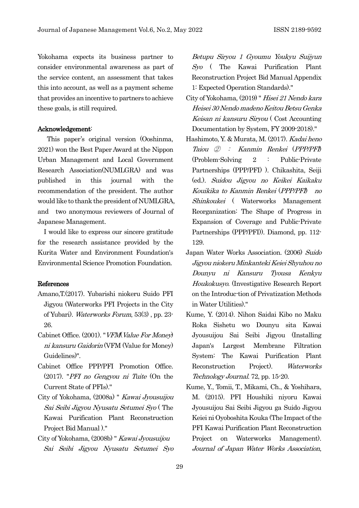Yokohama expects its business partner to consider environmental awareness as part of the service content, an assessment that takes this into account, as well as a payment scheme that provides an incentive to partners to achieve these goals, is still required.

## Acknowledgement:

This paper's original version (Ooshinma, 2021) won the Best Paper Award at the Nippon Urban Management and Local Government Research Association(NUMLGRA) and was published in this journal with the recommendation of the president. The author would like to thank the president of NUMLGRA, and two anonymous reviewers of Journal of Japanese Management.

I would like to express our sincere gratitude for the research assistance provided by the Kurita Water and Environment Foundation's Environmental Science Promotion Foundation.

## References

- Amano,T.(2017). Yubarishi niokeru Suido PFI Jigyou (Waterworks PFI Projects in the City of Yubari). Waterworks Forum, 53(3) , pp. 23- 26.
- Cabinet Office. (2001). "VFM(Value For Money) ni kansuru Gaidorin (VFM (Value for Money) Guidelines)".
- Cabinet Office PPP/PFI Promotion Office. (2017). "PFI no Gengyou ni Tuite (On the Current State of PFIs)."
- City of Yokohama, (2008a) " Kawai Jyousuijou Sai Seibi Jigyou Nyusatu Setumei Syo ( The Kawai Purification Plant Reconstruction Project Bid Manual )."
- City of Yokohama, (2008b) " Kawai Jyousuijou Sai Seibi Jigyou Nyusatu Setumei Syo

Betupu Siryou 1 Gyoumu Youkyu Suijyun Syo ( The Kawai Purification Plant Reconstruction Project Bid Manual Appendix 1: Expected Operation Standards)."

- City of Yokohama, (2019) " Hisei 21 Nendo kara Heisei 30 Nendo madeno Keitou Betsu Genka Keisan ni kansuru Siryou ( Cost Accounting Documentation by System, FY 2009-2018)."
- Hashimoto, Y. & Murata, M. (2017). Kadai heno Taiou ② : Kanmin Renkei (PPP/PFI) (Problem-Solving 2 : Public-Private Partnerships (PPP/PFI) ). Chikashita, Seiji (ed.). Suidou Jigyou no Keikei Kaikaku Kouikika to Kanmin Renkei (PPP/PFI) no Shinkoukei ( Waterworks Management Reorganization: The Shape of Progress in Expansion of Coverage and Public-Private Partnerships (PPP/PFI)). Diamond, pp. 112- 129.
- Japan Water Works Association. (2006) Suido Jigyou niokeru Minkanteki Keiei Shyuhou no Dounyu ni Kansuru Tyousa Kenkyu Houkokusyo. (Investigative Research Report on the Introduc-tion of Privatization Methods in Water Utilities)."
- Kume, Y. (2014). Nihon Saidai Kibo no Maku Roka Sishetu wo Dounyu sita Kawai Jyousuijou Sai Seibi Jigyou (Installing Japan's Largest Membrane Filtration System: The Kawai Purification Plant Reconstruction Project). Waterworks Technology Journal. 72, pp. 15-20.
- Kume, Y., Tomii, T., Mikami, Ch., & Yoshihara, M. (2015). PFI Houshiki niyoru Kawai Jyousuijou Sai Seibi Jigyou ga Suido Jigyou Keiei ni Oyoboshita Kouka (The Impact of the PFI Kawai Purification Plant Reconstruction Project on Waterworks Management). Journal of Japan Water Works Association,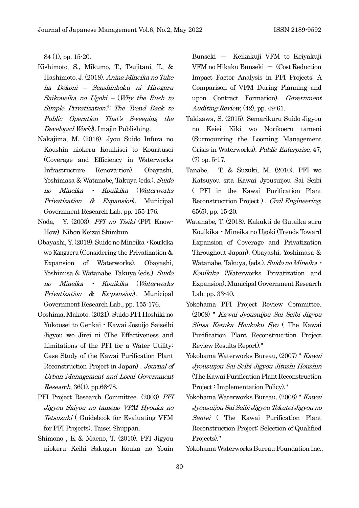84 (1), pp. 15-20.

- Kishimoto, S., Mikumo, T., Tsujitani, T., & Hashimoto, J. (2018). Anina Mineika no Tuke ha Dokoni – Senshinkoku ni Hirogaru Saikoueika no Ugoki – (Why the Rush to Simple Privatization?: The Trend Back to Public Operation That's Sweeping the Developed World). Imajin Publishing.
- Nakajima, M. (2018). Jyou Suido Infura no Koushin niokeru Kouikisei to Kouritusei (Coverage and Efficiency in Waterworks Infrastructure Renova-tion). Obayashi, Yoshimasa & Watanabe, Takuya (eds.). Suido no Mineika ・ Kouikika (Waterworks Privatization & Expansion. Municipal Government Research Lab. pp. 155-176.
- Noda, Y. (2003). PFI no Tisiki (PFI Know-How). Nihon Keizai Shimbun.
- Obayashi, Y. (2018). Suido no Mineika・Kouikika wo Kangaeru (Considering the Privatization & Expansion of Waterworks). Obayashi, Yoshimisa & Watanabe, Takuya (eds.). Suido no Mineika ・ Kouikika (Waterworks Privatization & Ex-pansion). Municipal Government Research Lab., pp. 155-176.
- Ooshima, Makoto. (2021). Suido PFI Hoshiki no Yukousei to Genkai - Kawai Josuijo Saiseibi Jigyou wo Jirei ni (The Effectiveness and Limitations of the PFI for a Water Utility: Case Study of the Kawai Purification Plant Reconstruction Project in Japan) . Journal of Urban Management and Local Government Research, 36(1), pp.66-78.
- PFI Project Research Committee. (2003) PFI Jigyou Saiyou no tameno VFM Hyouka no Tetsuzuki ( Guidebook for Evaluating VFM for PFI Projects). Taisei Shuppan.
- Shimono , K & Maeno, T. (2010). PFI Jigyou niokeru Keihi Sakugen Kouka no Youin

Bunseki - Keikakuji VFM to Keiyakuji VFM no Hikaku Bunseki  $-$  (Cost Reduction Impact Factor Analysis in PFI Projects: A Comparison of VFM During Planning and upon Contract Formation). Government Auditing Review, (42), pp. 49-61.

- Takizawa, S. (2015). Semarikuru Suido Jigyou no Keiei Kiki wo Norikoeru tameni (Surmounting the Looming Management Crisis in Waterworks). Public Enterprise, 47, (7) pp. 5-17.
- Tanabe, T. & Suzuki, M. (2010). PFI wo Katsuyou sita Kawai Jyousuijou Sai Seibi ( PFI in the Kawai Purification Plant Reconstruc-tion Project ) . Civil Engineering. 65(5), pp. 15-20.
- Watanabe, T. (2018). Kakukti de Gutaika suru Kouikika・Mineika no Ugoki (Trends Toward Expansion of Coverage and Privatization Throughout Japan). Obayashi, Yoshimasa & Watanabe, Takuya, (eds.). Suido no Mineika · Kouikika (Waterworks Privatization and Expansion). Municipal Government Research Lab. pp. 33-40.
- Yokohama PFI Project Review Committee. (2008) " Kawai Jyousuijou Sai Seibi Jigyou Sinsa Ketuka Houkoku Syo ( The Kawai Purification Plant Reconstruc-tion Project Review Results Report)."
- Yokohama Waterworks Bureau, (2007) " Kawai Jyousuijou Sai Seibi Jigyou Jitushi Houshin (The Kawai Purification Plant Reconstruction Project : Implementation Policy)."
- Yokohama Waterworks Bureau, (2008) " Kawai Jyousuijou Sai Seibi Jigyou Tokutei Jigyou no Sentei (The Kawai Purification Plant Reconstruction Project: Selection of Qualified Projects)."
- Yokohama Waterworks Bureau Foundation Inc.,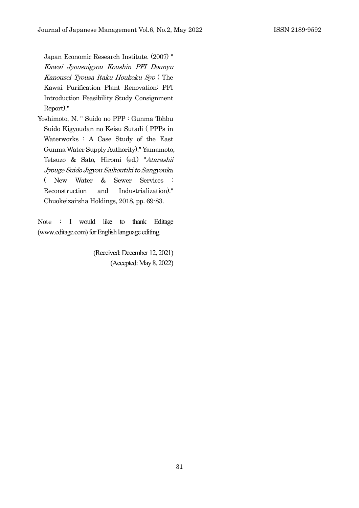Japan Economic Research Institute. (2007) " Kawai Jyousuigyou Koushin PFI Dounyu Kanousei Tyousa Itaku Houkoku Syo ( The Kawai Purification Plant Renovation: PFI Introduction Feasibility Study Consignment Report)."

Yoshimoto, N. " Suido no PPP : Gunma Tohbu Suido Kigyoudan no Keisu Sutadi ( PPPs in Waterworks : A Case Study of the East Gunma Water Supply Authority)." Yamamoto, Tetsuzo & Sato, Hiromi (ed.) "Atarashii Jyouge Suido Jigyou Saikoutiki to Sangyouka ( New Water & Sewer Services : Reconstruction and Industrialization)." Chuokeizai-sha Holdings, 2018, pp. 69-83.

Note : I would like to thank Editage (www.editage.com) for English language editing.

> (Received: December 12, 2021) (Accepted: May 8, 2022)